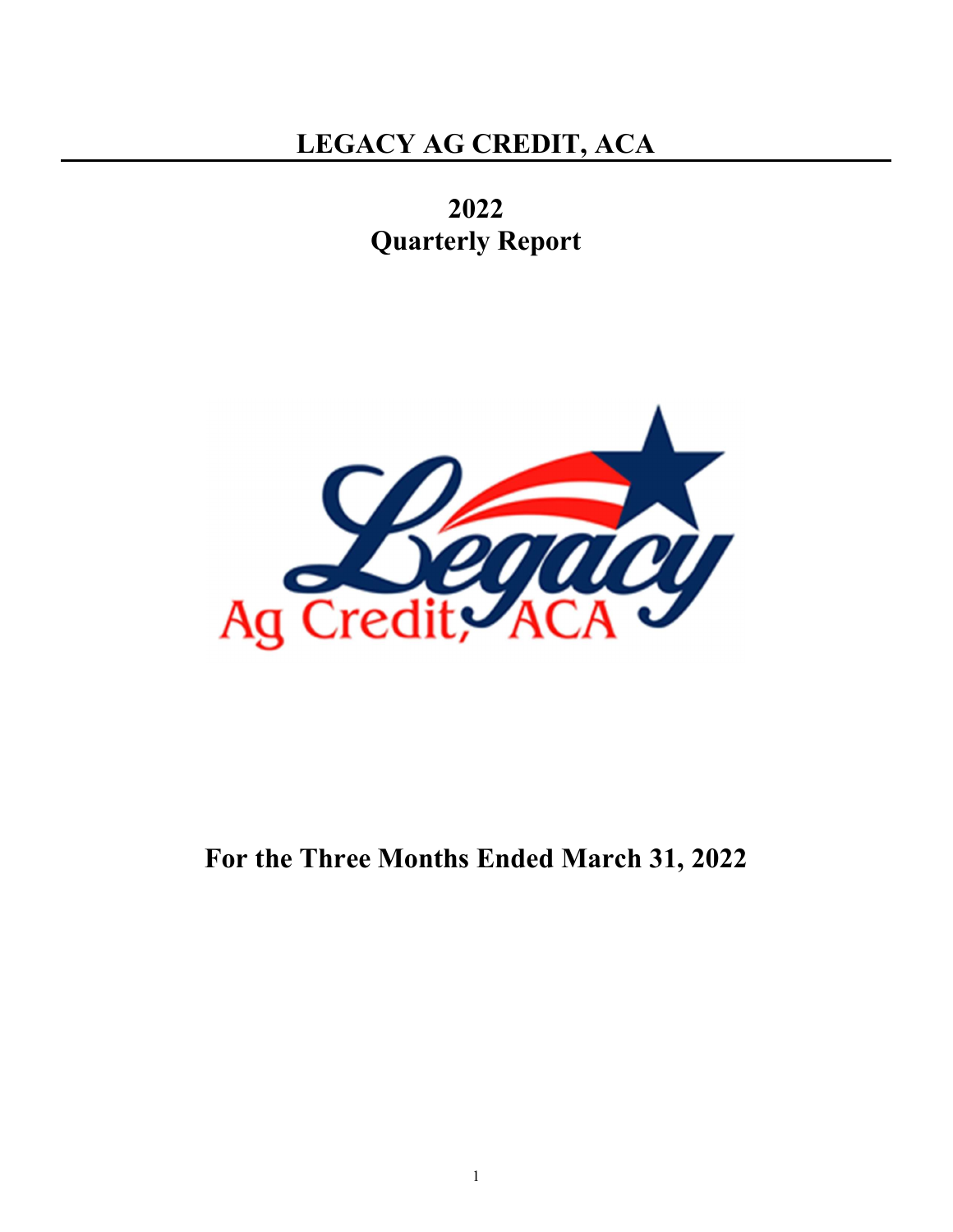2022 Quarterly Report



# For the Three Months Ended March 31, 2022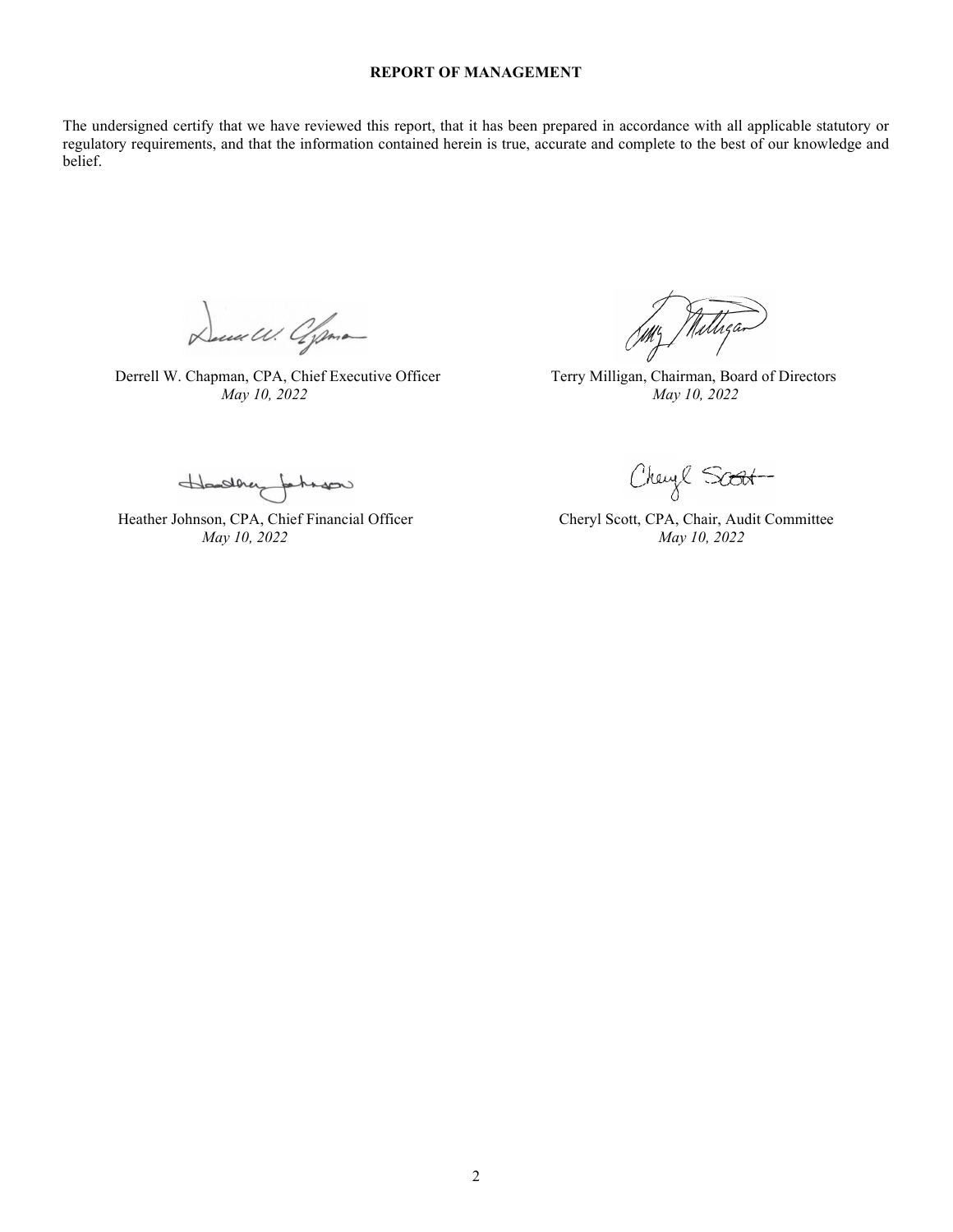## REPORT OF MANAGEMENT

The undersigned certify that we have reviewed this report, that it has been prepared in accordance with all applicable statutory or regulatory requirements, and that the information contained herein is true, accurate and complete to the best of our knowledge and belief.

Deced W. Ofpone

Derrell W. Chapman, CPA, Chief Executive Officer Terry Milligan, Chairman, Board of Directors May 10, 2022 May 10, 2022

Nilliga

Hadhey fahaso

Heather Johnson, CPA, Chief Financial Officer Cheryl Scott, CPA, Chair, Audit Committee May 10, 2022 May 10, 2022

Cheyl Soot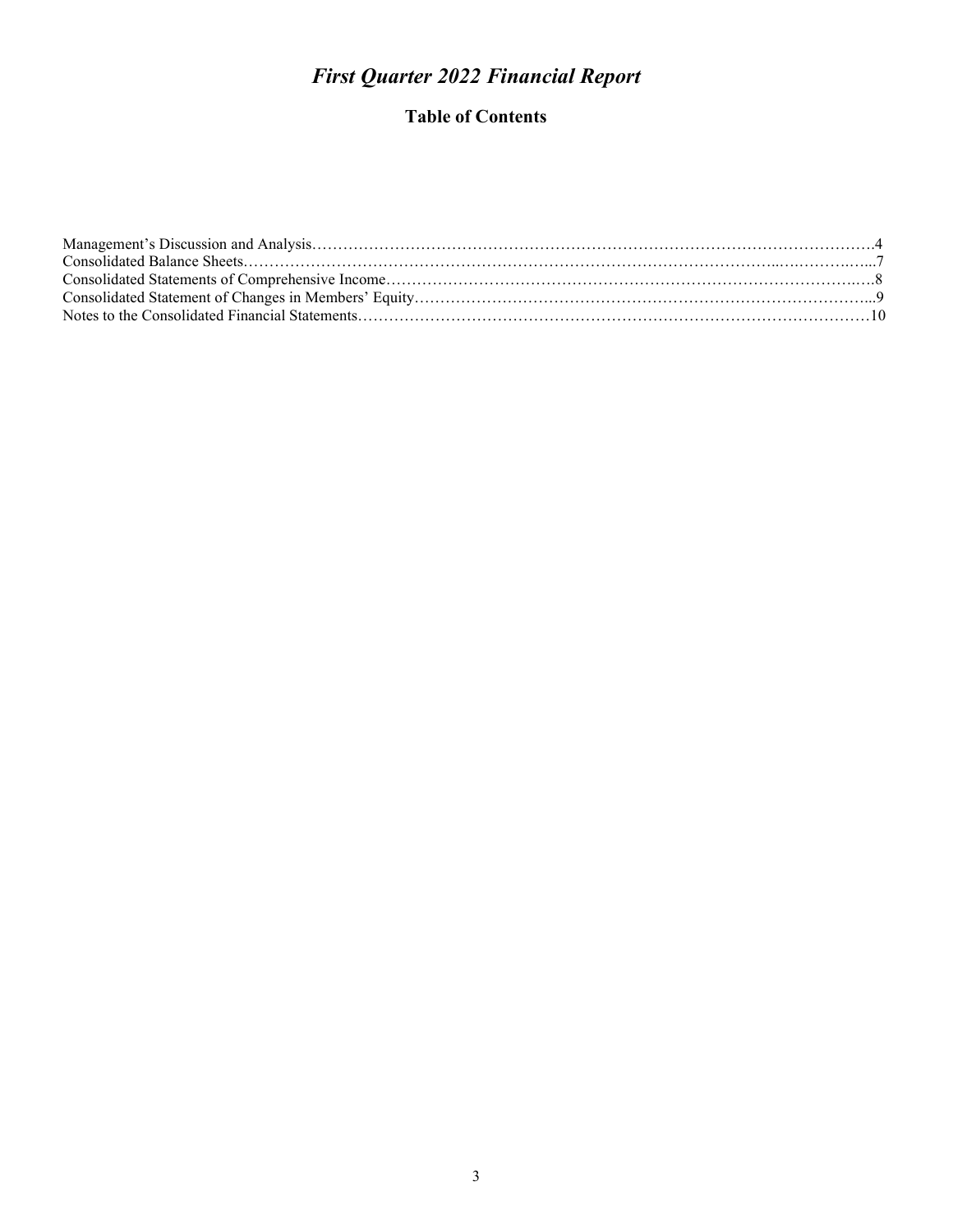# First Quarter 2022 Financial Report

## Table of Contents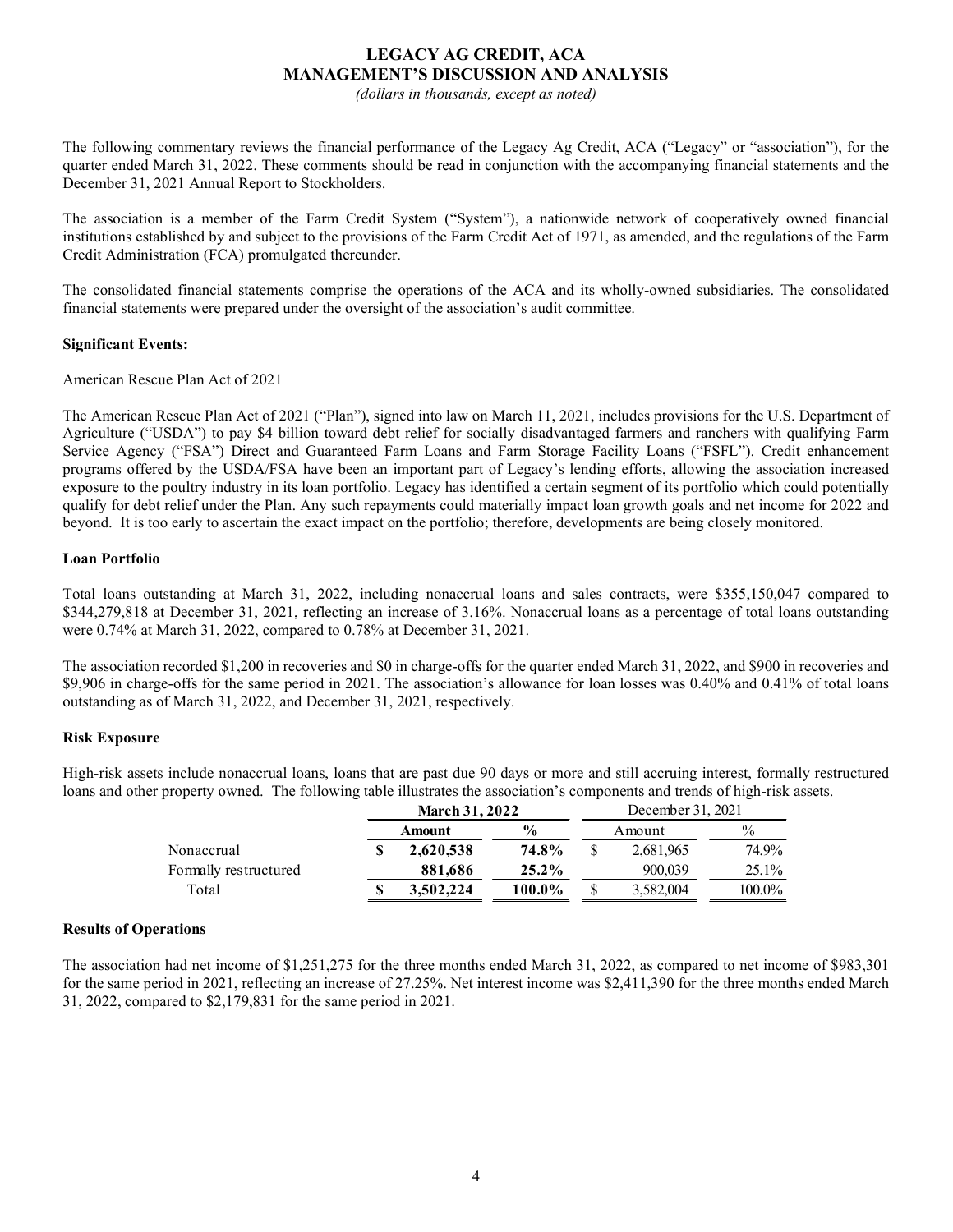## LEGACY AG CREDIT, ACA MANAGEMENT'S DISCUSSION AND ANALYSIS

(dollars in thousands, except as noted)

The following commentary reviews the financial performance of the Legacy Ag Credit, ACA ("Legacy" or "association"), for the quarter ended March 31, 2022. These comments should be read in conjunction with the accompanying financial statements and the December 31, 2021 Annual Report to Stockholders.

The association is a member of the Farm Credit System ("System"), a nationwide network of cooperatively owned financial institutions established by and subject to the provisions of the Farm Credit Act of 1971, as amended, and the regulations of the Farm Credit Administration (FCA) promulgated thereunder.

The consolidated financial statements comprise the operations of the ACA and its wholly-owned subsidiaries. The consolidated financial statements were prepared under the oversight of the association's audit committee.

#### Significant Events:

American Rescue Plan Act of 2021

The American Rescue Plan Act of 2021 ("Plan"), signed into law on March 11, 2021, includes provisions for the U.S. Department of Agriculture ("USDA") to pay \$4 billion toward debt relief for socially disadvantaged farmers and ranchers with qualifying Farm Service Agency ("FSA") Direct and Guaranteed Farm Loans and Farm Storage Facility Loans ("FSFL"). Credit enhancement programs offered by the USDA/FSA have been an important part of Legacy's lending efforts, allowing the association increased exposure to the poultry industry in its loan portfolio. Legacy has identified a certain segment of its portfolio which could potentially qualify for debt relief under the Plan. Any such repayments could materially impact loan growth goals and net income for 2022 and beyond. It is too early to ascertain the exact impact on the portfolio; therefore, developments are being closely monitored. relief for socially disadvantaged farmers and ranchers with qualifying Farm<br>mortana s and Farm Storage Facility Loans: ("FSFL"). Credit enhancement<br>mportant part of Legacy's lending efforts, allowing the association incre

#### Loan Portfolio

Total loans outstanding at March 31, 2022, including nonaccrual loans and sales contracts, were \$355,150,047 compared to \$344,279,818 at December 31, 2021, reflecting an increase of 3.16%. Nonaccrual loans as a percentage of total loans outstanding were 0.74% at March 31, 2022, compared to 0.78% at December 31, 2021.

The association recorded \$1,200 in recoveries and \$0 in charge-offs for the quarter ended March 31, 2022, and \$900 in recoveries and \$9,906 in charge-offs for the same period in 2021. The association's allowance for loan losses was 0.40% and 0.41% of total loans outstanding as of March 31, 2022, and December 31, 2021, respectively.

## Risk Exposure

High-risk assets include nonaccrual loans, loans that are past due 90 days or more and still accruing interest, formally restructured loans and other property owned. The following table illustrates the association's components and trends of high-risk assets.

|                       | <b>March 31, 2022</b> |                | December 31, 2021 |          |
|-----------------------|-----------------------|----------------|-------------------|----------|
|                       | Amount                | $\frac{6}{10}$ | Amount            | $\%$     |
| Nonaccrual            | 2.620.538             | 74.8%          | 2,681,965         | 74.9%    |
| Formally restructured | 881.686               | 25.2%          | 900,039           | $25.1\%$ |
| Total                 | 3.502.224             | 100.0%         | 5,582,004         | 100.0%   |

## Results of Operations

The association had net income of \$1,251,275 for the three months ended March 31, 2022, as compared to net income of \$983,301 for the same period in 2021, reflecting an increase of 27.25%. Net interest income was \$2,411,390 for the three months ended March 31, 2022, compared to \$2,179,831 for the same period in 2021.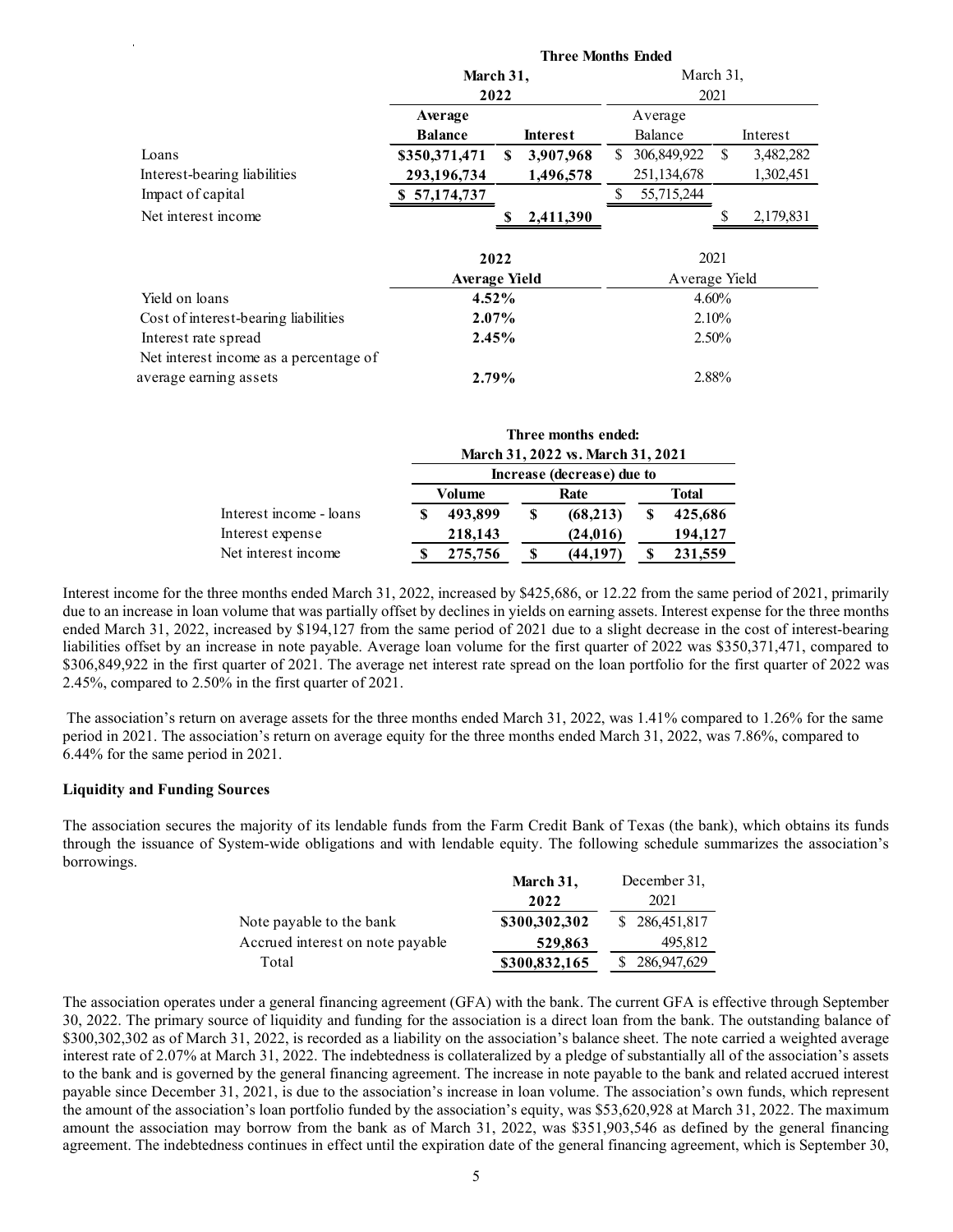|                                        |                                                 |                                   | <b>Three Months Ended</b>                |                            |
|----------------------------------------|-------------------------------------------------|-----------------------------------|------------------------------------------|----------------------------|
|                                        | March 31,                                       |                                   |                                          | March 31,                  |
|                                        | 2022                                            |                                   |                                          | 2021                       |
|                                        | Average                                         |                                   | Average                                  |                            |
|                                        | <b>Balance</b>                                  | <b>Interest</b>                   | Balance                                  | Interest                   |
| Loans                                  | \$350,371,471                                   | 3,907,968<br>-S                   | \$ 306,849,922                           | $\mathcal{S}$<br>3,482,282 |
| Interest-bearing liabilities           | 293,196,734                                     | 1,496,578                         | 251,134,678                              | 1,302,451                  |
| Impact of capital                      | \$57,174,737                                    |                                   | $\mathbb{S}$<br>55,715,244               |                            |
| Net interest income                    |                                                 | 2,411,390<br>S,                   |                                          | 2,179,831<br>\$            |
|                                        |                                                 |                                   |                                          |                            |
|                                        | 2022                                            |                                   |                                          | 2021                       |
|                                        | <b>Average Yield</b>                            |                                   |                                          | Average Yield              |
| Yield on loans                         | 4.52%                                           |                                   |                                          | 4.60%                      |
| Cost of interest-bearing liabilities   | 2.07%                                           |                                   |                                          | 2.10%                      |
| Interest rate spread                   | 2.45%                                           |                                   |                                          | 2.50%                      |
| Net interest income as a percentage of |                                                 |                                   |                                          |                            |
| average earning assets                 | 2.79%                                           |                                   |                                          | 2.88%                      |
|                                        |                                                 |                                   |                                          |                            |
|                                        |                                                 | Three months ended:               |                                          |                            |
|                                        |                                                 | March 31, 2022 vs. March 31, 2021 |                                          |                            |
|                                        |                                                 | Increase (decrease) due to        |                                          |                            |
| Interest income - loans                | <b>Volume</b><br>493,899<br>S.                  | Rate<br>$\overline{\mathbf{s}}$   | <b>Total</b><br>$\mathbf{\$}$<br>425,686 |                            |
| Interest expense                       |                                                 | (68,213)<br>(24, 016)             | 194,127                                  |                            |
| Net interest income                    | 218,143<br>$\boldsymbol{\mathsf{S}}$<br>275,756 | $\mathbf S$<br>(44, 197)          | 231,559<br>-S                            |                            |
|                                        |                                                 |                                   |                                          |                            |

|                         |   |         |   | Three months ended:               |   |         |
|-------------------------|---|---------|---|-----------------------------------|---|---------|
|                         |   |         |   | March 31, 2022 vs. March 31, 2021 |   |         |
|                         |   |         |   | Increase (decrease) due to        |   |         |
|                         |   | Volume  |   | Rate                              |   | Total   |
| Interest income - loans | S | 493,899 | S | (68, 213)                         | S | 425,686 |
| Interest expense        |   | 218,143 |   | (24, 016)                         |   | 194.127 |
| Net interest income     |   | 275,756 |   | (44, 197)                         |   | 231,559 |

Interest income for the three months ended March 31, 2022, increased by \$425,686, or 12.22 from the same period of 2021, primarily due to an increase in loan volume that was partially offset by declines in yields on earning assets. Interest expense for the three months ended March 31, 2022, increased by \$194,127 from the same period of 2021 due to a slight decrease in the cost of interest-bearing liabilities offset by an increase in note payable. Average loan volume for the first quarter of 2022 was \$350,371,471, compared to \$306,849,922 in the first quarter of 2021. The average net interest rate spread on the loan portfolio for the first quarter of 2022 was 2.45%, compared to 2.50% in the first quarter of 2021.

 The association's return on average assets for the three months ended March 31, 2022, was 1.41% compared to 1.26% for the same period in 2021. The association's return on average equity for the three months ended March 31, 2022, was 7.86%, compared to 6.44% for the same period in 2021.

#### Liquidity and Funding Sources

The association secures the majority of its lendable funds from the Farm Credit Bank of Texas (the bank), which obtains its funds through the issuance of System-wide obligations and with lendable equity. The following schedule summarizes the association's borrowings.

|                                  | March 31,     | December 31,  |
|----------------------------------|---------------|---------------|
|                                  | 2022          | 2021          |
| Note payable to the bank         | \$300,302,302 | \$286,451,817 |
| Accrued interest on note payable | 529,863       | 495,812       |
| Total                            | \$300,832,165 | \$286,947,629 |

The association operates under a general financing agreement (GFA) with the bank. The current GFA is effective through September 30, 2022. The primary source of liquidity and funding for the association is a direct loan from the bank. The outstanding balance of \$300,302,302 as of March 31, 2022, is recorded as a liability on the association's balance sheet. The note carried a weighted average interest rate of 2.07% at March 31, 2022. The indebtedness is collateralized by a pledge of substantially all of the association's assets to the bank and is governed by the general financing agreement. The increase in note payable to the bank and related accrued interest payable since December 31, 2021, is due to the association's increase in loan volume. The association's own funds, which represent the amount of the association's loan portfolio funded by the association's equity, was \$53,620,928 at March 31, 2022. The maximum amount the association may borrow from the bank as of March 31, 2022, was \$351,903,546 as defined by the general financing agreement. The indebtedness continues in effect until the expiration date of the general financing agreement, which is September 30,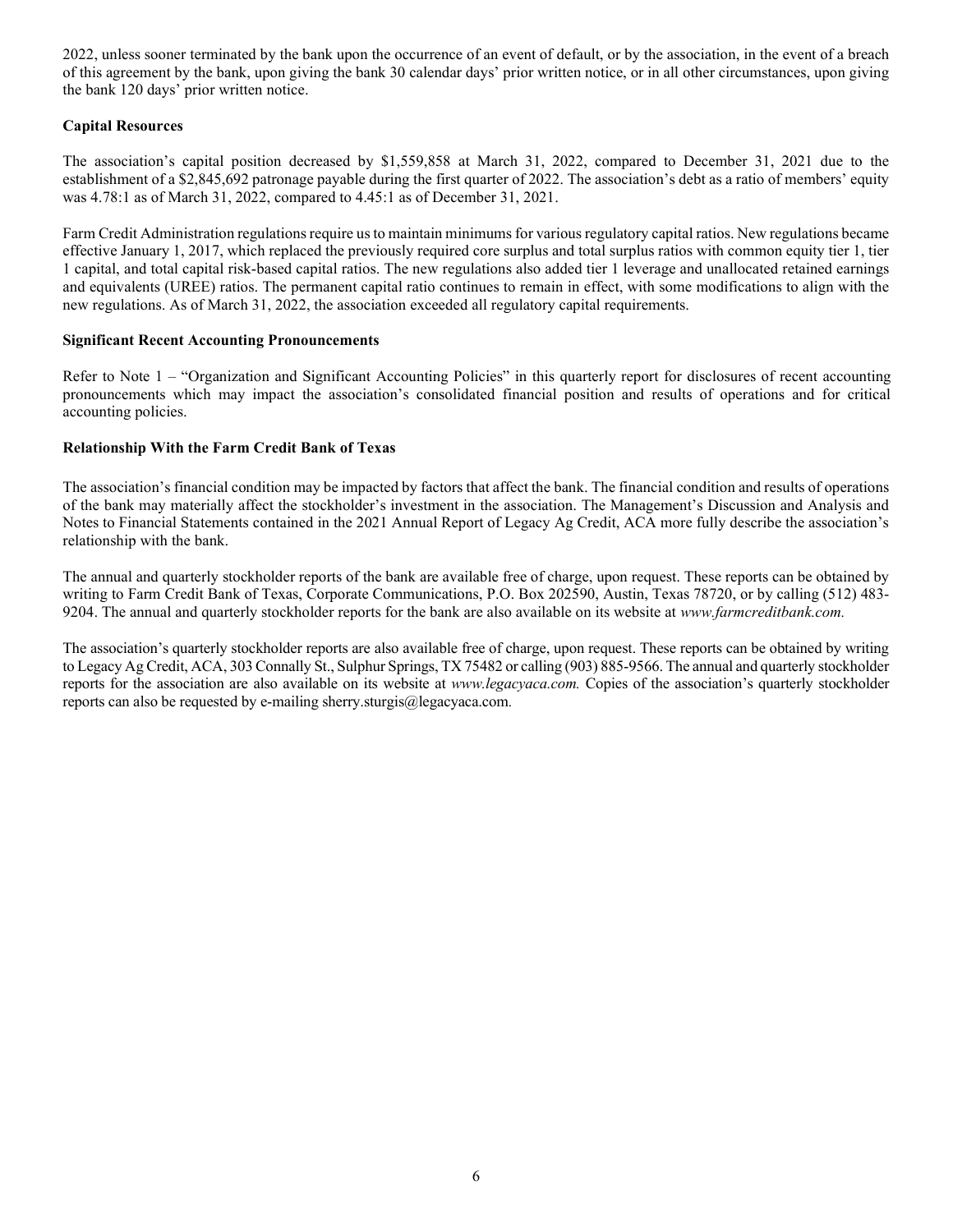2022, unless sooner terminated by the bank upon the occurrence of an event of default, or by the association, in the event of a breach of this agreement by the bank, upon giving the bank 30 calendar days' prior written notice, or in all other circumstances, upon giving the bank 120 days' prior written notice.

## Capital Resources

The association's capital position decreased by \$1,559,858 at March 31, 2022, compared to December 31, 2021 due to the establishment of a \$2,845,692 patronage payable during the first quarter of 2022. The association's debt as a ratio of members' equity was 4.78:1 as of March 31, 2022, compared to 4.45:1 as of December 31, 2021.

Farm Credit Administration regulations require us to maintain minimums for various regulatory capital ratios. New regulations became effective January 1, 2017, which replaced the previously required core surplus and total surplus ratios with common equity tier 1, tier 1 capital, and total capital risk-based capital ratios. The new regulations also added tier 1 leverage and unallocated retained earnings and equivalents (UREE) ratios. The permanent capital ratio continues to remain in effect, with some modifications to align with the new regulations. As of March 31, 2022, the association exceeded all regulatory capital requirements.

## Significant Recent Accounting Pronouncements

Refer to Note 1 – "Organization and Significant Accounting Policies" in this quarterly report for disclosures of recent accounting pronouncements which may impact the association's consolidated financial position and results of operations and for critical accounting policies.

## Relationship With the Farm Credit Bank of Texas

The association's financial condition may be impacted by factors that affect the bank. The financial condition and results of operations of the bank may materially affect the stockholder's investment in the association. The Management's Discussion and Analysis and Notes to Financial Statements contained in the 2021 Annual Report of Legacy Ag Credit, ACA more fully describe the association's relationship with the bank.

The annual and quarterly stockholder reports of the bank are available free of charge, upon request. These reports can be obtained by writing to Farm Credit Bank of Texas, Corporate Communications, P.O. Box 202590, Austin, Texas 78720, or by calling (512) 483- 9204. The annual and quarterly stockholder reports for the bank are also available on its website at www.farmcreditbank.com.

The association's quarterly stockholder reports are also available free of charge, upon request. These reports can be obtained by writing to Legacy Ag Credit, ACA, 303 Connally St., Sulphur Springs, TX 75482 or calling (903) 885-9566. The annual and quarterly stockholder reports for the association are also available on its website at www.legacyaca.com. Copies of the association's quarterly stockholder reports can also be requested by e-mailing sherry.sturgis@legacyaca.com.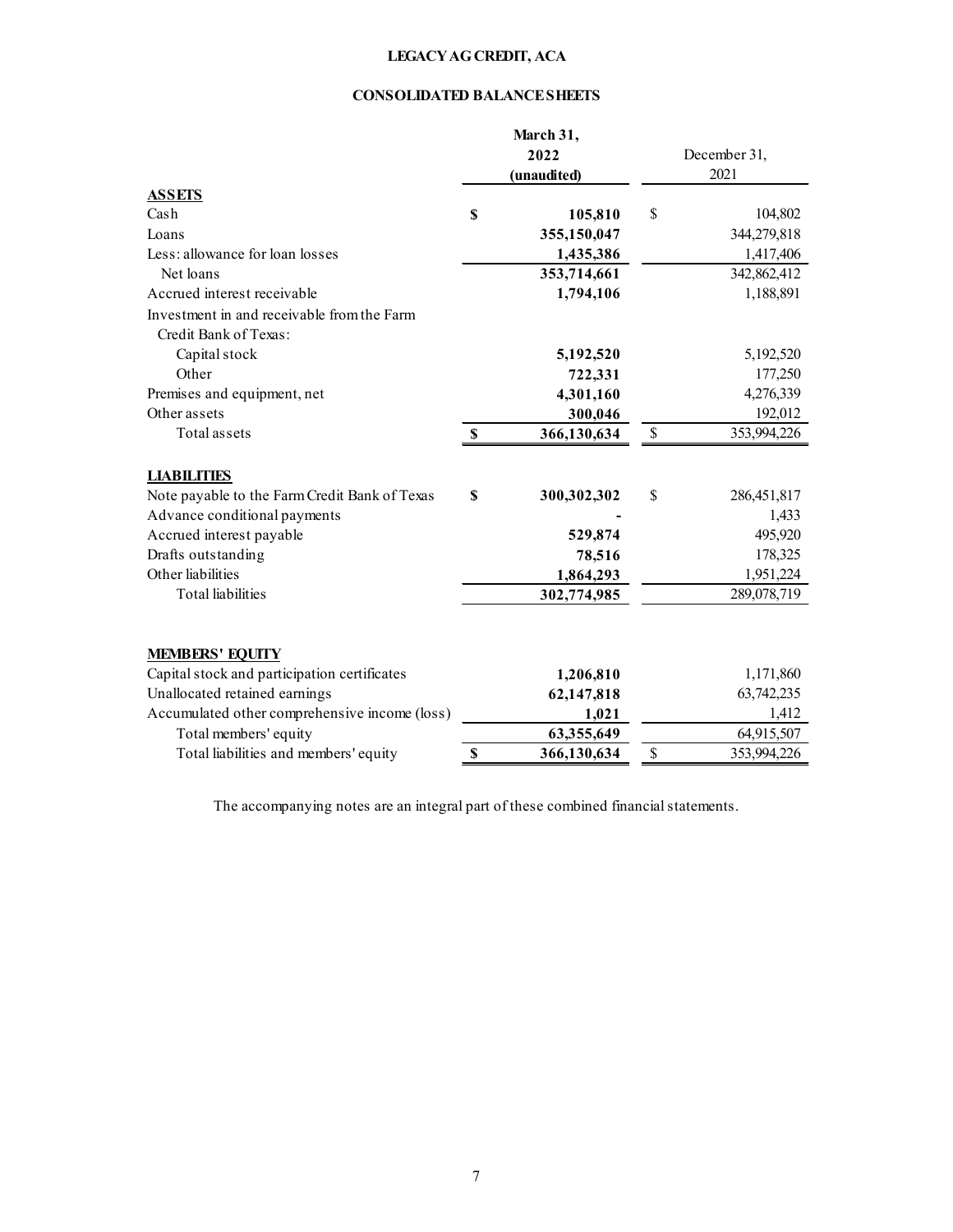## CONSOLIDATED BALANCE SHEETS

|                                                                     |              | March 31,<br>2022<br>(unaudited) |              | December 31,<br>2021 |
|---------------------------------------------------------------------|--------------|----------------------------------|--------------|----------------------|
| <b>ASSETS</b>                                                       |              |                                  |              |                      |
| Cash                                                                | \$           | 105,810                          | \$           | 104,802              |
| Loans                                                               |              | 355,150,047                      |              | 344,279,818          |
| Less: allowance for loan losses                                     |              | 1,435,386                        |              | 1,417,406            |
| Net loans                                                           |              | 353,714,661                      |              | 342,862,412          |
| Accrued interest receivable                                         |              | 1,794,106                        |              | 1,188,891            |
| Investment in and receivable from the Farm<br>Credit Bank of Texas: |              |                                  |              |                      |
| Capital stock                                                       |              | 5,192,520                        |              | 5,192,520            |
| Other                                                               |              | 722,331                          |              | 177,250              |
| Premises and equipment, net                                         |              | 4,301,160                        |              | 4,276,339            |
| Other assets                                                        |              | 300,046                          |              | 192,012              |
| Total assets                                                        | $\mathbf{s}$ | 366,130,634                      | $\mathbb{S}$ | 353,994,226          |
| <b>LIABILITIES</b>                                                  |              |                                  |              |                      |
| Note payable to the Farm Credit Bank of Texas                       | \$           | 300,302,302                      | \$           | 286,451,817          |
| Advance conditional payments                                        |              |                                  |              | 1,433                |
| Accrued interest payable                                            |              | 529,874                          |              | 495,920              |
| Drafts outstanding                                                  |              | 78,516                           |              | 178,325              |
| Other liabilities                                                   |              | 1,864,293                        |              | 1,951,224            |
| <b>Total</b> liabilities                                            |              | 302,774,985                      |              | 289,078,719          |
| <b>MEMBERS' EQUITY</b>                                              |              |                                  |              |                      |
| Capital stock and participation certificates                        |              | 1,206,810                        |              | 1,171,860            |
| Unallocated retained earnings                                       |              | 62,147,818                       |              | 63,742,235           |
| Accumulated other comprehensive income (loss)                       |              | 1,021                            |              | 1,412                |
| Total members' equity                                               |              | 63,355,649                       |              | 64,915,507           |
| Total liabilities and members' equity                               | \$           | 366,130,634                      | \$           | 353,994,226          |

The accompanying notes are an integral part of these combined financial statements.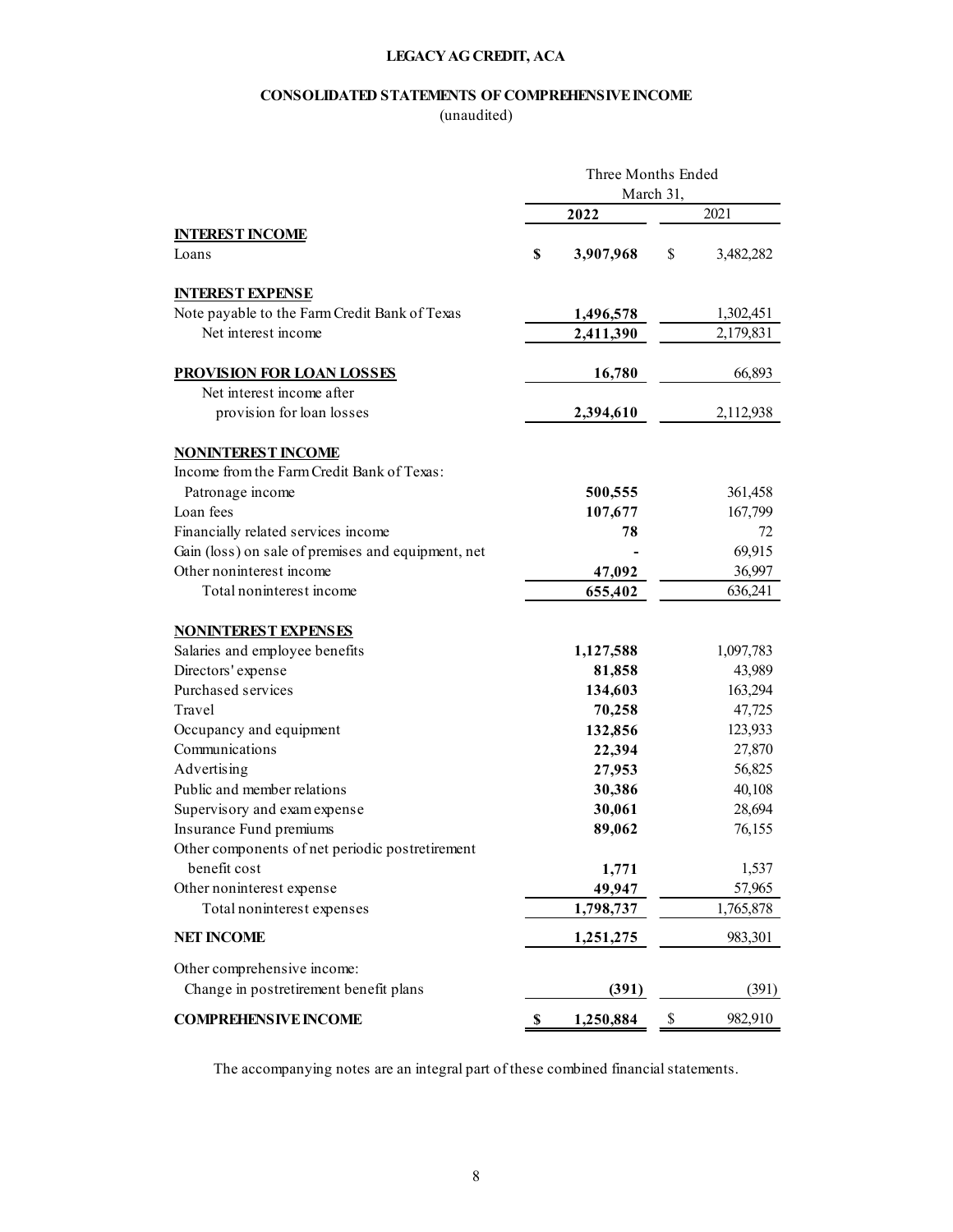## CONSOLIDATED STATEMENTS OF COMPREHENSIVE INCOME

(unaudited)

|                                                    | Three Months Ended |           |           |
|----------------------------------------------------|--------------------|-----------|-----------|
|                                                    |                    | March 31, |           |
|                                                    | 2022               |           | 2021      |
| <b>INTEREST INCOME</b><br>Loans                    | \$<br>3,907,968    | \$        | 3,482,282 |
|                                                    |                    |           |           |
| <b>INTEREST EXPENSE</b>                            |                    |           |           |
| Note payable to the Farm Credit Bank of Texas      | 1,496,578          |           | 1,302,451 |
| Net interest income                                | 2,411,390          |           | 2,179,831 |
| PROVISION FOR LOAN LOSSES                          | 16,780             |           | 66,893    |
| Net interest income after                          |                    |           |           |
| provision for loan losses                          | 2,394,610          |           | 2,112,938 |
| <b>NONINTEREST INCOME</b>                          |                    |           |           |
| Income from the Farm Credit Bank of Texas:         |                    |           |           |
| Patronage income                                   | 500,555            |           | 361,458   |
| Loan fees                                          | 107,677            |           | 167,799   |
| Financially related services income                | 78                 |           | 72        |
| Gain (loss) on sale of premises and equipment, net |                    |           | 69,915    |
| Other noninterest income                           | 47,092             |           | 36,997    |
| Total noninterest income                           |                    |           |           |
|                                                    | 655,402            |           | 636,241   |
| <b>NONINTEREST EXPENSES</b>                        |                    |           |           |
| Salaries and employee benefits                     | 1,127,588          |           | 1,097,783 |
| Directors' expense                                 | 81,858             |           | 43,989    |
| Purchased services                                 | 134,603            |           | 163,294   |
| Travel                                             | 70,258             |           | 47,725    |
| Occupancy and equipment                            | 132,856            |           | 123,933   |
| Communications                                     | 22,394             |           | 27,870    |
| Advertising                                        | 27,953             |           | 56,825    |
| Public and member relations                        | 30,386             |           | 40,108    |
| Supervisory and exam expense                       | 30,061             |           | 28,694    |
| Insurance Fund premiums                            | 89,062             |           | 76,155    |
| Other components of net periodic postretirement    |                    |           |           |
| benefit cost                                       |                    |           |           |
|                                                    | 1,771              |           | 1,537     |
| Other noninterest expense                          | 49,947             |           | 57,965    |
| Total noninterest expenses                         | 1,798,737          |           | 1,765,878 |
| <b>NET INCOME</b>                                  | 1,251,275          |           | 983,301   |
| Other comprehensive income:                        |                    |           |           |
| Change in postretirement benefit plans             | (391)              |           | (391)     |
| <b>COMPREHENSIVE INCOME</b>                        | \$<br>1,250,884    | \$        | 982,910   |
|                                                    |                    |           |           |
|                                                    |                    |           |           |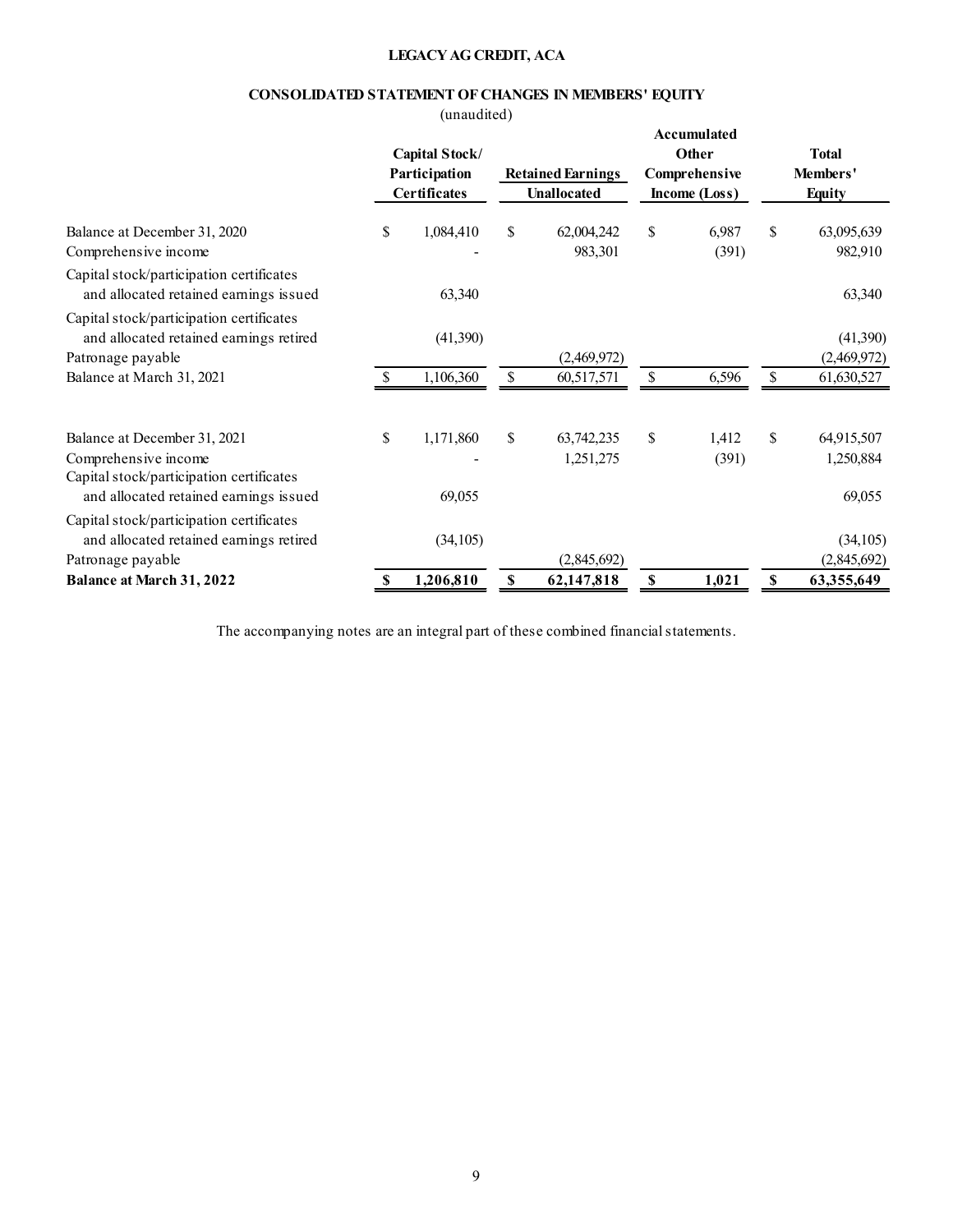## CONSOLIDATED STATEMENT OF CHANGES IN MEMBERS' EQUITY

|                                                                                                          |    | (unaudited)<br>Capital Stock/        | LEGACY AG CREDIT, ACA | CONSOLIDATED STATEMENT OF CHANGES IN MEMBERS' EQUITY |              | Accumulated<br>Other           |                           | <b>Total</b>              |
|----------------------------------------------------------------------------------------------------------|----|--------------------------------------|-----------------------|------------------------------------------------------|--------------|--------------------------------|---------------------------|---------------------------|
|                                                                                                          |    | Participation<br><b>Certificates</b> |                       | <b>Retained Earnings</b><br>Unallocated              |              | Comprehensive<br>Income (Loss) |                           | Members'<br><b>Equity</b> |
| Balance at December 31, 2020<br>Comprehensive income                                                     | S  | 1,084,410                            | \$                    | 62,004,242<br>983,301                                | \$           | 6,987<br>(391)                 | $\mathbb{S}$              | 63,095,639<br>982,910     |
| Capital stock/participation certificates<br>and allocated retained earnings issued                       |    | 63,340                               |                       |                                                      |              |                                |                           | 63,340                    |
| Capital stock/participation certificates<br>and allocated retained earnings retired<br>Patronage payable |    | (41,390)                             |                       | (2,469,972)                                          |              |                                |                           | (41,390)<br>(2,469,972)   |
| Balance at March 31, 2021                                                                                | -S | 1,106,360                            | $\mathbb{S}$          | 60,517,571                                           | $\mathbb{S}$ | 6,596                          | $\mathbb{S}$              | 61,630,527                |
| Balance at December 31, 2021<br>Comprehensive income                                                     | \$ | 1,171,860                            | \$                    | 63,742,235<br>1,251,275                              | \$           | 1,412<br>(391)                 | $\boldsymbol{\mathsf{S}}$ | 64,915,507<br>1,250,884   |
| Capital stock/participation certificates<br>and allocated retained earnings issued                       |    | 69,055                               |                       |                                                      |              |                                |                           | 69,055                    |
| Capital stock/participation certificates<br>and allocated retained earnings retired                      |    | (34, 105)                            |                       |                                                      |              |                                |                           | (34, 105)                 |
| Patronage payable<br><b>Balance at March 31, 2022</b>                                                    | \$ | 1,206,810                            | $\mathbf{\$}$         | (2,845,692)<br>62,147,818                            | $\mathbf S$  | 1,021                          | $\boldsymbol{\mathsf{s}}$ | (2,845,692)<br>63,355,649 |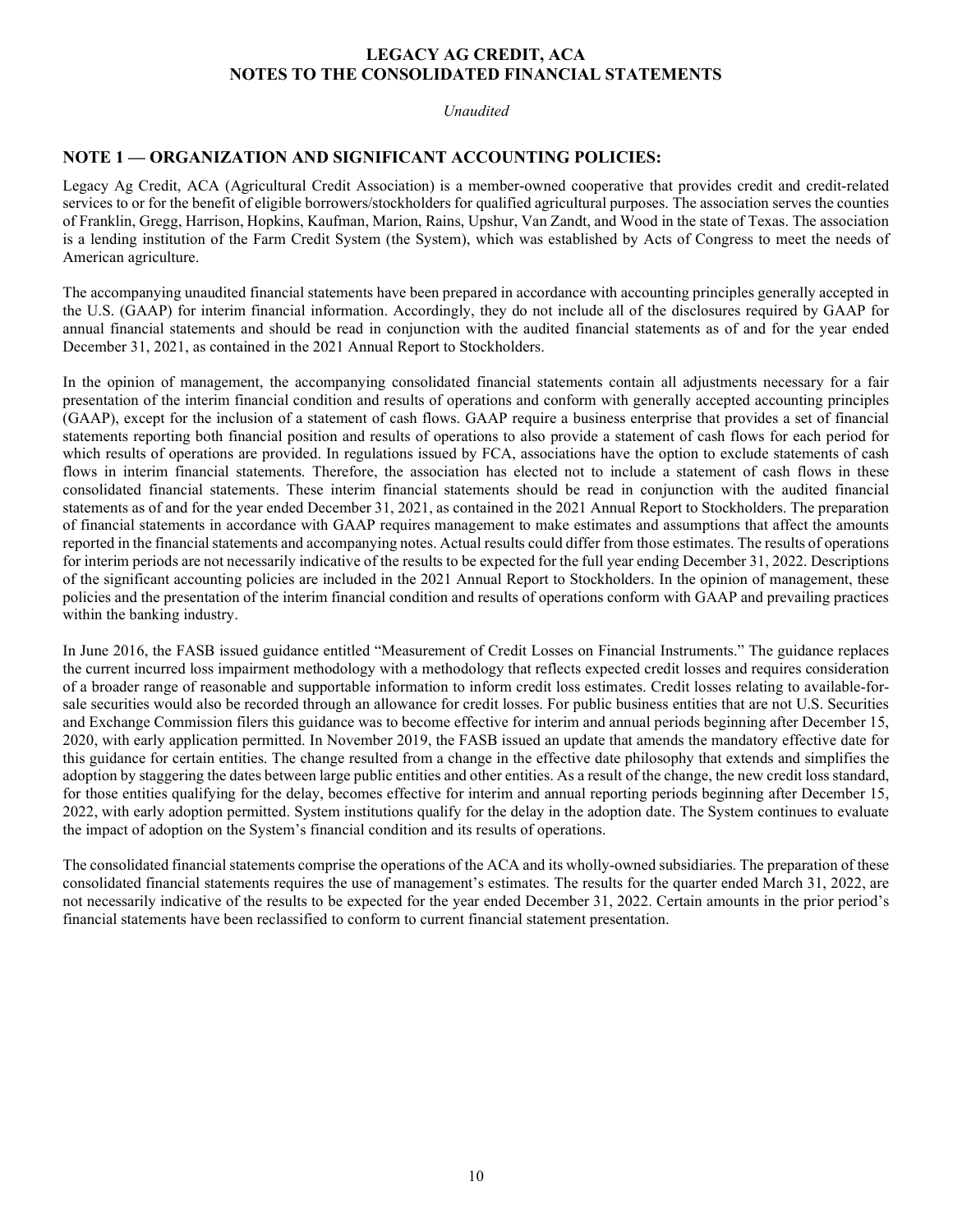## LEGACY AG CREDIT, ACA NOTES TO THE CONSOLIDATED FINANCIAL STATEMENTS

Unaudited

## NOTE 1 — ORGANIZATION AND SIGNIFICANT ACCOUNTING POLICIES:

Legacy Ag Credit, ACA (Agricultural Credit Association) is a member-owned cooperative that provides credit and credit-related services to or for the benefit of eligible borrowers/stockholders for qualified agricultural purposes. The association serves the counties of Franklin, Gregg, Harrison, Hopkins, Kaufman, Marion, Rains, Upshur, Van Zandt, and Wood in the state of Texas. The association is a lending institution of the Farm Credit System (the System), which was established by Acts of Congress to meet the needs of American agriculture.

The accompanying unaudited financial statements have been prepared in accordance with accounting principles generally accepted in the U.S. (GAAP) for interim financial information. Accordingly, they do not include all of the disclosures required by GAAP for annual financial statements and should be read in conjunction with the audited financial statements as of and for the year ended December 31, 2021, as contained in the 2021 Annual Report to Stockholders.

In the opinion of management, the accompanying consolidated financial statements contain all adjustments necessary for a fair presentation of the interim financial condition and results of operations and conform with generally accepted accounting principles (GAAP), except for the inclusion of a statement of cash flows. GAAP require a business enterprise that provides a set of financial statements reporting both financial position and results of operations to also provide a statement of cash flows for each period for which results of operations are provided. In regulations issued by FCA, associations have the option to exclude statements of cash flows in interim financial statements. Therefore, the association has elected not to include a statement of cash flows in these consolidated financial statements. These interim financial statements should be read in conjunction with the audited financial statements as of and for the year ended December 31, 2021, as contained in the 2021 Annual Report to Stockholders. The preparation of financial statements in accordance with GAAP requires management to make estimates and assumptions that affect the amounts reported in the financial statements and accompanying notes. Actual results could differ from those estimates. The results of operations for interim periods are not necessarily indicative of the results to be expected for the full year ending December 31, 2022. Descriptions of the significant accounting policies are included in the 2021 Annual Report to Stockholders. In the opinion of management, these policies and the presentation of the interim financial condition and results of operations conform with GAAP and prevailing practices within the banking industry.

In June 2016, the FASB issued guidance entitled "Measurement of Credit Losses on Financial Instruments." The guidance replaces the current incurred loss impairment methodology with a methodology that reflects expected credit losses and requires consideration of a broader range of reasonable and supportable information to inform credit loss estimates. Credit losses relating to available-forsale securities would also be recorded through an allowance for credit losses. For public business entities that are not U.S. Securities and Exchange Commission filers this guidance was to become effective for interim and annual periods beginning after December 15, 2020, with early application permitted. In November 2019, the FASB issued an update that amends the mandatory effective date for this guidance for certain entities. The change resulted from a change in the effective date philosophy that extends and simplifies the adoption by staggering the dates between large public entities and other entities. As a result of the change, the new credit loss standard, for those entities qualifying for the delay, becomes effective for interim and annual reporting periods beginning after December 15, 2022, with early adoption permitted. System institutions qualify for the delay in the adoption date. The System continues to evaluate the impact of adoption on the System's financial condition and its results of operations.

The consolidated financial statements comprise the operations of the ACA and its wholly-owned subsidiaries. The preparation of these consolidated financial statements requires the use of management's estimates. The results for the quarter ended March 31, 2022, are not necessarily indicative of the results to be expected for the year ended December 31, 2022. Certain amounts in the prior period's financial statements have been reclassified to conform to current financial statement presentation.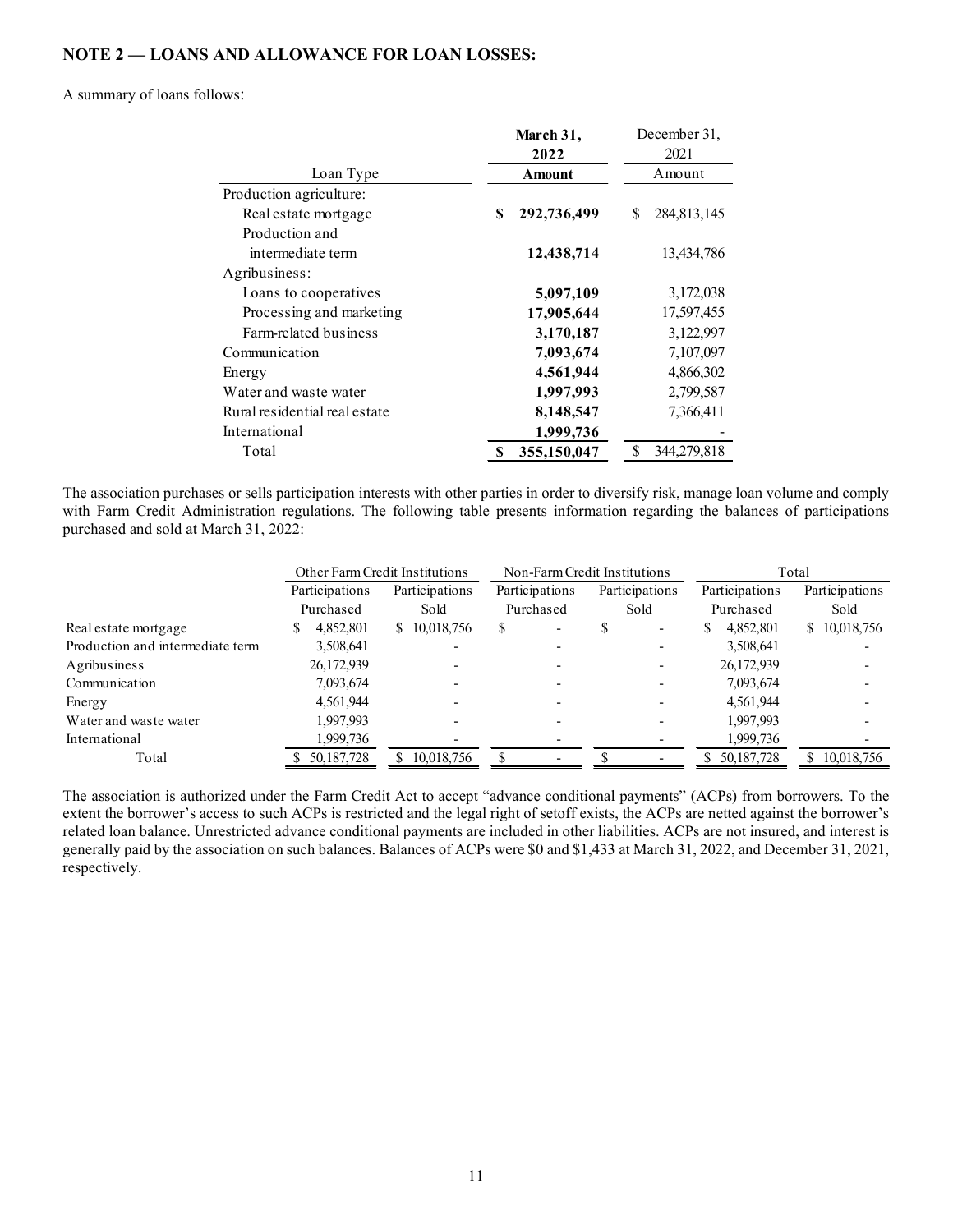## NOTE 2 — LOANS AND ALLOWANCE FOR LOAN LOSSES:

#### A summary of loans follows:

| ws:           | <b>AND ALLOWANCE FOR LOAN LOSSES:</b>                                                                                                                                                                                        |                         |                |                          |                              |                         |                       |
|---------------|------------------------------------------------------------------------------------------------------------------------------------------------------------------------------------------------------------------------------|-------------------------|----------------|--------------------------|------------------------------|-------------------------|-----------------------|
|               |                                                                                                                                                                                                                              |                         |                |                          |                              |                         |                       |
|               |                                                                                                                                                                                                                              |                         |                |                          |                              |                         |                       |
|               |                                                                                                                                                                                                                              |                         |                |                          |                              |                         |                       |
|               |                                                                                                                                                                                                                              |                         |                |                          |                              |                         |                       |
|               |                                                                                                                                                                                                                              |                         |                |                          |                              |                         |                       |
|               |                                                                                                                                                                                                                              |                         |                |                          |                              |                         |                       |
|               |                                                                                                                                                                                                                              |                         |                |                          |                              |                         |                       |
|               |                                                                                                                                                                                                                              |                         |                |                          |                              |                         |                       |
|               |                                                                                                                                                                                                                              |                         | March 31,      |                          | December 31,                 |                         |                       |
|               |                                                                                                                                                                                                                              |                         | 2022           |                          | 2021                         |                         |                       |
|               | Loan Type                                                                                                                                                                                                                    |                         | Amount         |                          | Amount                       |                         |                       |
|               | Production agriculture:                                                                                                                                                                                                      |                         |                |                          |                              |                         |                       |
|               | Real estate mortgage<br>Production and                                                                                                                                                                                       |                         | \$             | 292,736,499              | S.                           | 284,813,145             |                       |
|               | intermediate term                                                                                                                                                                                                            |                         |                | 12,438,714               |                              | 13,434,786              |                       |
| Agribusiness: |                                                                                                                                                                                                                              |                         |                |                          |                              |                         |                       |
|               | Loans to cooperatives                                                                                                                                                                                                        |                         |                | 5,097,109                |                              | 3,172,038               |                       |
|               | Processing and marketing                                                                                                                                                                                                     |                         |                | 17,905,644               |                              | 17,597,455              |                       |
|               | Farm-related business                                                                                                                                                                                                        |                         |                | 3,170,187                |                              | 3,122,997               |                       |
|               | Communication                                                                                                                                                                                                                |                         |                | 7,093,674                |                              | 7,107,097               |                       |
| Energy        |                                                                                                                                                                                                                              |                         |                | 4,561,944                |                              | 4,866,302               |                       |
|               | Water and waste water                                                                                                                                                                                                        |                         |                | 1,997,993                |                              | 2,799,587               |                       |
|               | Rural residential real estate                                                                                                                                                                                                |                         |                | 8,148,547                |                              | 7,366,411               |                       |
| International |                                                                                                                                                                                                                              |                         |                | 1,999,736                |                              |                         |                       |
| Total         |                                                                                                                                                                                                                              |                         |                | 355,150,047              | S.                           | 344,279,818             |                       |
| rch 31, 2022: | s or sells participation interests with other parties in order to diversify risk, manage loan volume and comply<br>nistration regulations. The following table presents information regarding the balances of participations |                         |                |                          |                              |                         |                       |
|               | Other Farm Credit Institutions                                                                                                                                                                                               |                         |                |                          | Non-Farm Credit Institutions |                         | Total                 |
|               | Participations                                                                                                                                                                                                               | Participations          | Participations |                          | Participations               | Participations          | Participations        |
|               | Purchased                                                                                                                                                                                                                    | Sold                    | Purchased      |                          | Sold                         | Purchased               | $\operatorname{Sold}$ |
|               | $\mathbb S$<br>4,852,801                                                                                                                                                                                                     | $\overline{10,018,756}$ | $\mathbb{S}$   | $\overline{\mathcal{S}}$ | $\sim$                       | \$4,852,801             | \$10,018,756          |
| te term       | 3,508,641<br>26,172,939                                                                                                                                                                                                      |                         |                |                          |                              | 3,508,641<br>26,172,939 |                       |
|               | 7,093,674                                                                                                                                                                                                                    |                         |                |                          |                              | 7,093,674               |                       |
|               | 4,561,944                                                                                                                                                                                                                    |                         |                |                          |                              | 4,561,944               |                       |

|                                                                                                                                                                                                                                                                                                                                            | Production and                                   |                |                |                              |                |                           |                         |
|--------------------------------------------------------------------------------------------------------------------------------------------------------------------------------------------------------------------------------------------------------------------------------------------------------------------------------------------|--------------------------------------------------|----------------|----------------|------------------------------|----------------|---------------------------|-------------------------|
|                                                                                                                                                                                                                                                                                                                                            | intermediate term                                |                |                | 12,438,714                   |                | 13,434,786                |                         |
| Agribusiness:                                                                                                                                                                                                                                                                                                                              |                                                  |                |                |                              |                |                           |                         |
|                                                                                                                                                                                                                                                                                                                                            | Loans to cooperatives                            |                |                | 5,097,109                    |                | 3,172,038                 |                         |
|                                                                                                                                                                                                                                                                                                                                            | Processing and marketing                         |                |                | 17,905,644                   |                | 17,597,455                |                         |
|                                                                                                                                                                                                                                                                                                                                            | Farm-related business                            |                |                | 3,170,187                    |                | 3,122,997                 |                         |
| Communication                                                                                                                                                                                                                                                                                                                              |                                                  |                |                | 7,093,674                    |                | 7,107,097                 |                         |
| Energy                                                                                                                                                                                                                                                                                                                                     |                                                  |                |                | 4,561,944                    |                | 4,866,302                 |                         |
|                                                                                                                                                                                                                                                                                                                                            | Water and waste water                            |                |                | 1,997,993                    |                | 2,799,587                 |                         |
|                                                                                                                                                                                                                                                                                                                                            | Rural residential real estate                    |                |                | 8,148,547                    |                | 7,366,411                 |                         |
| International                                                                                                                                                                                                                                                                                                                              |                                                  |                |                | 1,999,736                    |                |                           |                         |
| Total                                                                                                                                                                                                                                                                                                                                      |                                                  |                |                |                              | \$             |                           |                         |
|                                                                                                                                                                                                                                                                                                                                            |                                                  |                |                | 355,150,047                  |                | 344,279,818               |                         |
|                                                                                                                                                                                                                                                                                                                                            | Other Farm Credit Institutions<br>Participations | Participations | Participations | Non-Farm Credit Institutions | Participations | Participations            | Total<br>Participations |
|                                                                                                                                                                                                                                                                                                                                            | Purchased                                        | Sold           |                | Purchased                    | Sold           | Purchased                 | Sold                    |
| The association purchases or sells participation interests with other parties in order to diversify risk, manage loan volume and comply<br>with Farm Credit Administration regulations. The following table presents information regarding the balances of participations<br>purchased and sold at March 31, 2022:<br>Real estate mortgage | 4,852,801                                        | \$10,018,756   | \$             |                              | $\mathbb S$    | \$<br>4,852,801           | \$10,018,756            |
| Production and intermediate term                                                                                                                                                                                                                                                                                                           | 3,508,641                                        |                |                |                              |                | 3,508,641                 |                         |
| Agribusiness                                                                                                                                                                                                                                                                                                                               | 26,172,939                                       |                |                |                              |                | 26,172,939                |                         |
| Communication                                                                                                                                                                                                                                                                                                                              | 7,093,674                                        |                |                |                              |                | 7,093,674                 |                         |
| Energy                                                                                                                                                                                                                                                                                                                                     | 4,561,944                                        |                |                |                              |                | 4,561,944                 |                         |
| Water and waste water                                                                                                                                                                                                                                                                                                                      | 1,997,993                                        |                |                |                              |                | 1,997,993                 |                         |
| International                                                                                                                                                                                                                                                                                                                              | 1,999,736<br>50, 187, 728                        | \$10,018,756   | <sup>\$</sup>  |                              | \$             | 1,999,736<br>\$50,187,728 | \$10,018,756            |

The association is authorized under the Farm Credit Act to accept "advance conditional payments" (ACPs) from borrowers. To the extent the borrower's access to such ACPs is restricted and the legal right of setoff exists, the ACPs are netted against the borrower's related loan balance. Unrestricted advance conditional payments are included in other liabilities. ACPs are not insured, and interest is generally paid by the association on such balances. Balances of ACPs were \$0 and \$1,433 at March 31, 2022, and December 31, 2021, respectively.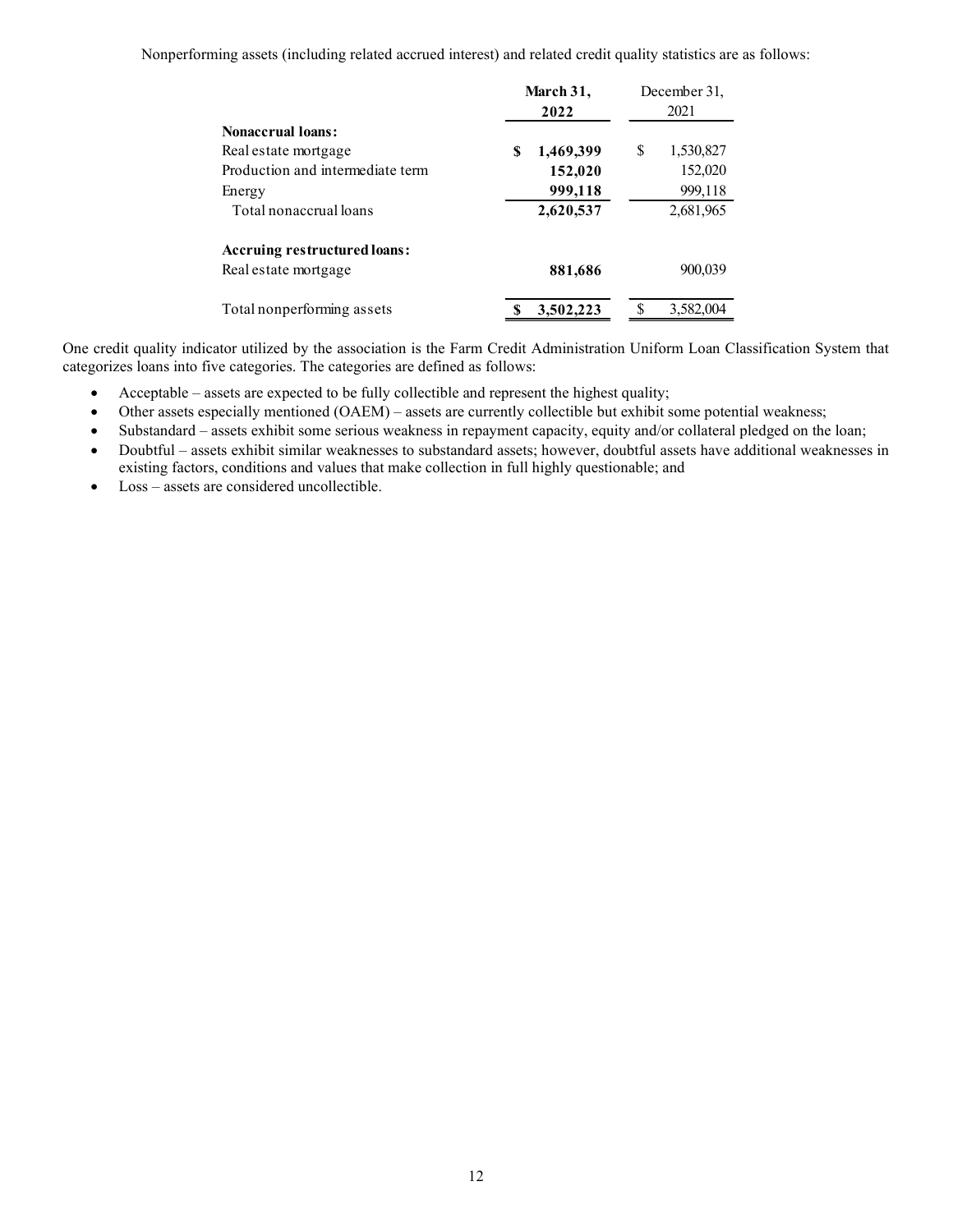Nonperforming assets (including related accrued interest) and related credit quality statistics are as follows:

|                                  | March 31,      | December 31,    |
|----------------------------------|----------------|-----------------|
|                                  | 2022           | 2021            |
| <b>Nonaccrual loans:</b>         |                |                 |
| Real estate mortgage             | 1,469,399<br>S | \$<br>1,530,827 |
| Production and intermediate term | 152,020        | 152,020         |
| Energy                           | 999,118        | 999,118         |
| Total nonaccrual loans           | 2,620,537      | 2,681,965       |
| Accruing restructured loans:     |                |                 |
| Real estate mortgage             | 881,686        | 900,039         |
| Total nonperforming assets       | 3,502,223      | 3,582,004       |

One credit quality indicator utilized by the association is the Farm Credit Administration Uniform Loan Classification System that categorizes loans into five categories. The categories are defined as follows:

- Acceptable assets are expected to be fully collectible and represent the highest quality;
- Other assets especially mentioned (OAEM) assets are currently collectible but exhibit some potential weakness;
- Substandard assets exhibit some serious weakness in repayment capacity, equity and/or collateral pledged on the loan;
- Doubtful assets exhibit similar weaknesses to substandard assets; however, doubtful assets have additional weaknesses in existing factors, conditions and values that make collection in full highly questionable; and
- Loss assets are considered uncollectible.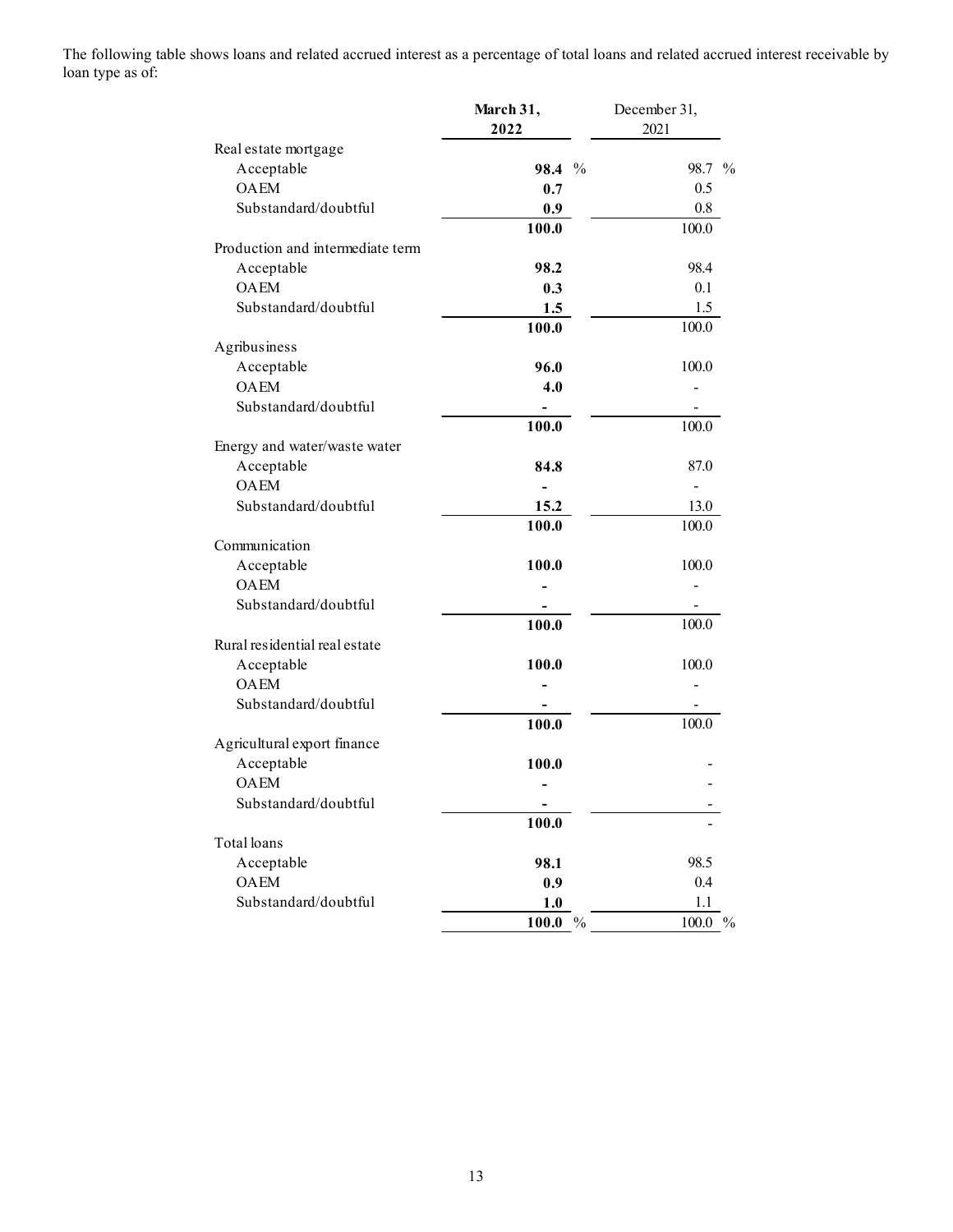The following table shows loans and related accrued interest as a percentage of total loans and related accrued interest receivable by loan type as of:

|                                  | March 31,<br>2022 | December 31,<br>2021 |  |
|----------------------------------|-------------------|----------------------|--|
| Real estate mortgage             |                   |                      |  |
| Acceptable                       | 98.4 %            | 98.7 %               |  |
| <b>OAEM</b>                      | 0.7               | 0.5                  |  |
| Substandard/doubtful             |                   |                      |  |
|                                  | 0.9               | $0.8\,$<br>100.0     |  |
| Production and intermediate term | 100.0             |                      |  |
|                                  |                   |                      |  |
| Acceptable                       | 98.2              | 98.4                 |  |
| OAEM                             | 0.3               | 0.1                  |  |
| Substandard/doubtful             | $1.5$             | 1.5                  |  |
|                                  | 100.0             | 100.0                |  |
| Agribusiness                     |                   |                      |  |
| Acceptable                       | 96.0              | 100.0                |  |
| <b>OAEM</b>                      | 4.0               |                      |  |
| Substandard/doubtful             | ۰                 | $\blacksquare$       |  |
|                                  | 100.0             | 100.0                |  |
| Energy and water/waste water     |                   |                      |  |
| $\Large{\bf Acceptable}$         | 84.8              | $87.0\,$             |  |
| OAEM                             | $\blacksquare$    | $\overline{a}$       |  |
| Substandard/doubtful             | 15.2              | 13.0                 |  |
|                                  | 100.0             | 100.0                |  |
| Communication                    |                   |                      |  |
| Acceptable                       | 100.0             | 100.0                |  |
| $\mathop{\rm OAEM}\nolimits$     |                   | $\blacksquare$       |  |
| Substandard/doubtful             |                   | $\overline{a}$       |  |
|                                  | 100.0             | 100.0                |  |
| Rural residential real estate    |                   |                      |  |
| Acceptable                       | 100.0             | $100.0\,$            |  |
| OAEM                             |                   |                      |  |
| Substandard/doubtful             | $\overline{a}$    | $\blacksquare$       |  |
|                                  | 100.0             | 100.0                |  |
| Agricultural export finance      |                   |                      |  |
| Acceptable                       | 100.0             |                      |  |
| OAEM                             |                   |                      |  |
| Substandard/doubtful             |                   |                      |  |
|                                  | ٠<br>100.0        |                      |  |
| Total loans                      |                   |                      |  |
|                                  |                   |                      |  |
| Acceptable                       | 98.1              | 98.5                 |  |
| OAEM                             | 0.9               | $0.4\,$              |  |
| Substandard/doubtful             | $1.0$             | $1.1\,$              |  |
|                                  | $100.0\,$ %       | $100.0\ \%$          |  |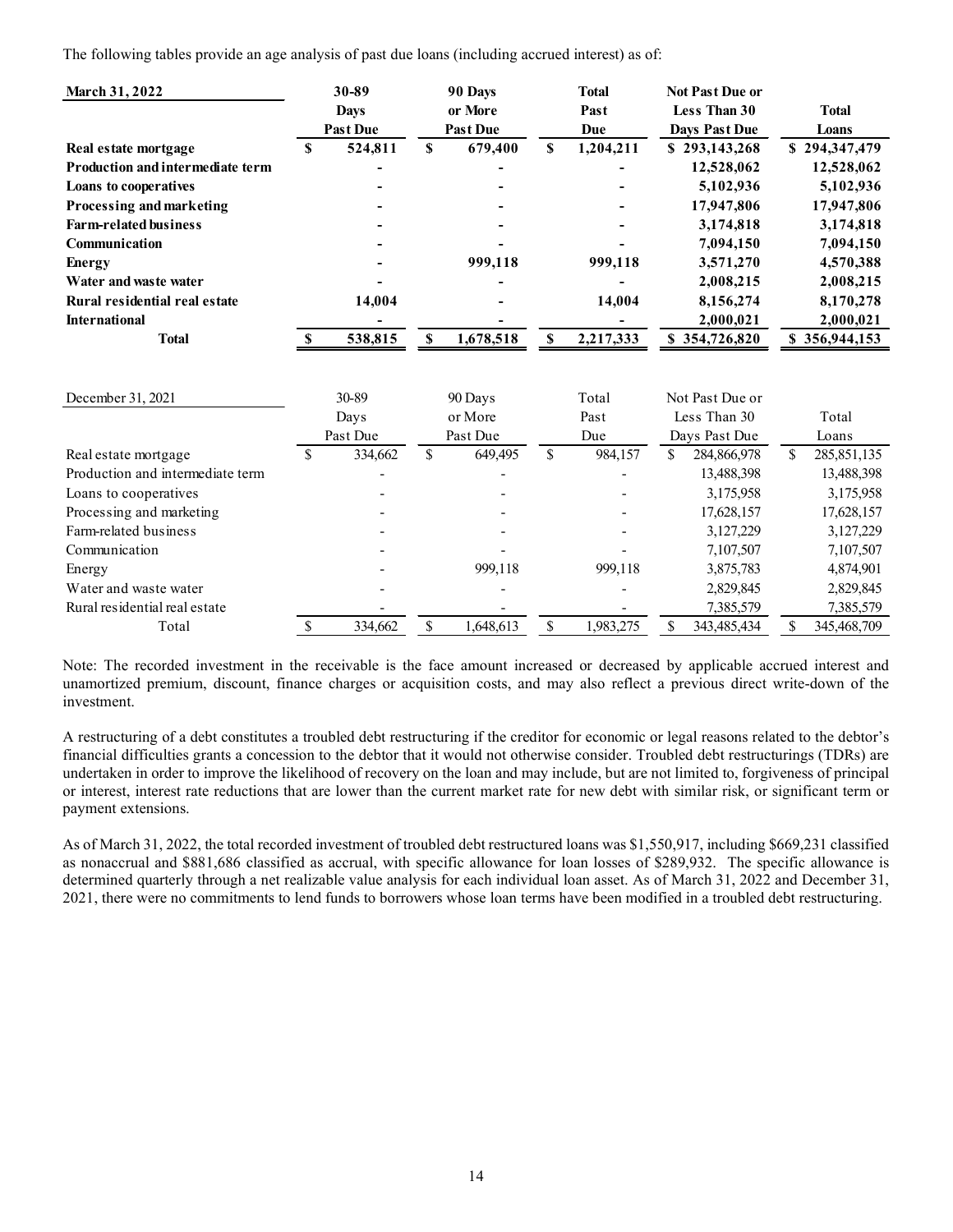| The following tables provide an age analysis of past due loans (including accrued interest) as of: |               |                                         |              |                                       |               |                             |                                                         |               |                       |
|----------------------------------------------------------------------------------------------------|---------------|-----------------------------------------|--------------|---------------------------------------|---------------|-----------------------------|---------------------------------------------------------|---------------|-----------------------|
| March 31, 2022                                                                                     |               | 30-89<br><b>Days</b><br><b>Past Due</b> |              | 90 Days<br>or More<br><b>Past Due</b> |               | <b>Total</b><br>Past<br>Due | <b>Not Past Due or</b><br>Less Than 30<br>Days Past Due |               | <b>Total</b><br>Loans |
| Real estate mortgage                                                                               | <sup>S</sup>  | 524,811                                 | $\mathbb{S}$ | 679,400                               | <sup>\$</sup> | 1,204,211                   | \$293,143,268                                           |               | \$294,347,479         |
| <b>Production and intermediate term</b>                                                            |               |                                         |              |                                       |               |                             | 12,528,062                                              |               | 12,528,062            |
| Loans to cooperatives                                                                              |               |                                         |              |                                       |               | ۰                           | 5,102,936                                               |               | 5,102,936             |
|                                                                                                    |               |                                         |              |                                       |               |                             |                                                         |               |                       |
| Processing and marketing                                                                           |               |                                         |              |                                       |               | ÷,                          | 17,947,806                                              |               | 17,947,806            |
| <b>Farm-related business</b>                                                                       |               |                                         |              |                                       |               | $\blacksquare$              | 3,174,818                                               |               | 3,174,818             |
| Communication                                                                                      |               |                                         |              |                                       |               |                             | 7,094,150                                               |               | 7,094,150             |
| <b>Energy</b>                                                                                      |               |                                         |              | 999,118                               |               | 999,118                     | 3,571,270                                               |               | 4,570,388             |
| Water and was te water                                                                             |               |                                         |              |                                       |               | ۰                           | 2,008,215                                               |               | 2,008,215             |
| Rural residential real estate                                                                      |               | 14,004                                  |              |                                       |               | 14,004                      | 8,156,274                                               |               | 8,170,278             |
| <b>International</b>                                                                               |               |                                         |              | ۰                                     |               |                             | 2,000,021                                               |               | 2,000,021             |
| <b>Total</b>                                                                                       |               | 538,815                                 | \$           | 1,678,518                             | S             | 2,217,333                   | \$354,726,820                                           |               | \$356,944,153         |
| December 31, 2021                                                                                  |               | 30-89                                   | 90 Days      |                                       |               | Total                       | Not Past Due or                                         |               |                       |
|                                                                                                    |               | Days                                    |              | or More                               |               | Past                        | Less Than 30                                            |               | Total                 |
|                                                                                                    |               | Past Due                                |              | Past Due                              |               | Due                         | Days Past Due                                           |               | Loans                 |
| Real estate mortgage                                                                               | <sup>\$</sup> | 334,662                                 | \$           | 649,495                               | $\mathbb{S}$  | 984,157                     | 284,866,978<br><sup>S</sup>                             | \$            | 285, 851, 135         |
| Production and intermediate term                                                                   |               |                                         |              |                                       |               |                             | 13,488,398                                              |               | 13,488,398            |
| Loans to cooperatives                                                                              |               |                                         |              |                                       |               |                             | 3,175,958                                               |               | 3,175,958             |
| Processing and marketing                                                                           |               |                                         |              |                                       |               |                             | 17,628,157                                              |               | 17,628,157            |
| Farm-related business                                                                              |               |                                         |              |                                       |               |                             | 3,127,229                                               |               | 3,127,229             |
| Communication                                                                                      |               |                                         |              |                                       |               |                             | 7,107,507                                               |               | 7,107,507             |
| Energy                                                                                             |               |                                         |              | 999,118                               |               | 999,118                     | 3,875,783                                               |               | 4,874,901             |
| Water and waste water                                                                              |               |                                         |              |                                       |               |                             | 2,829,845                                               |               | 2,829,845             |
|                                                                                                    |               |                                         |              |                                       |               |                             | 7,385,579                                               |               | 7,385,579             |
| Rural residential real estate                                                                      | <sup>S</sup>  | 334,662                                 | $\mathbb{S}$ | 1,648,613                             | <sup>\$</sup> | 1,983,275                   | 343,485,434<br><sup>S</sup>                             | <sup>\$</sup> | 345,468,709           |

| Total         |
|---------------|
| Loans         |
| 285, 851, 135 |
| 13,488,398    |
| 3,175,958     |
| 17,628,157    |
| 3,127,229     |
| 7,107,507     |
| 4,874,901     |
| 2,829,845     |
| 7,385,579     |
| 345,468,709   |
|               |

A restructuring of a debt constitutes a troubled debt restructuring if the creditor for economic or legal reasons related to the debtor's financial difficulties grants a concession to the debtor that it would not otherwise consider. Troubled debt restructurings (TDRs) are undertaken in order to improve the likelihood of recovery on the loan and may include, but are not limited to, forgiveness of principal or interest, interest rate reductions that are lower than the current market rate for new debt with similar risk, or significant term or payment extensions.

As of March 31, 2022, the total recorded investment of troubled debt restructured loans was \$1,550,917, including \$669,231 classified as nonaccrual and \$881,686 classified as accrual, with specific allowance for loan losses of \$289,932. The specific allowance is determined quarterly through a net realizable value analysis for each individual loan asset. As of March 31, 2022 and December 31, 2021, there were no commitments to lend funds to borrowers whose loan terms have been modified in a troubled debt restructuring.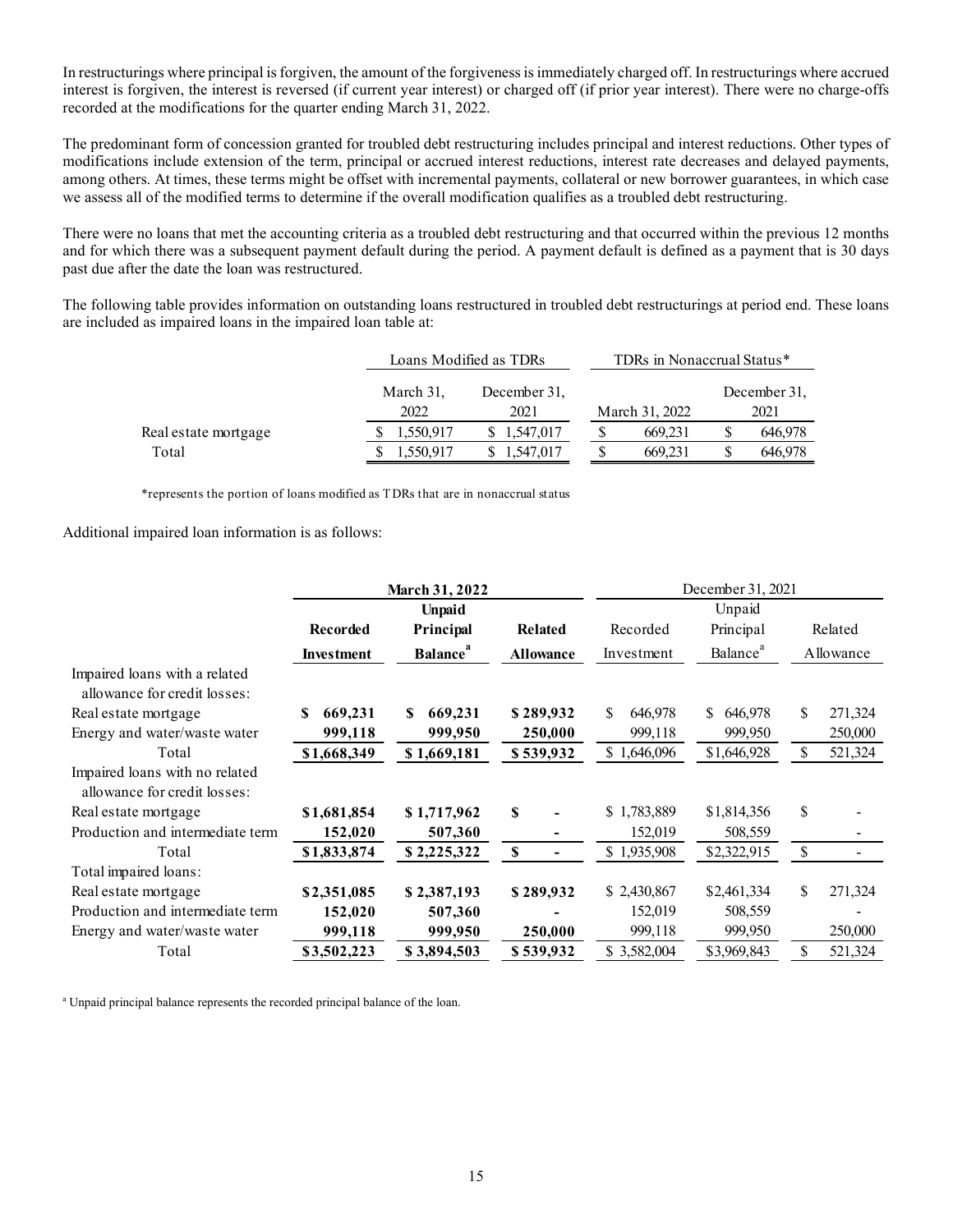In restructurings where principal is forgiven, the amount of the forgiveness is immediately charged off. In restructurings where accrued interest is forgiven, the interest is reversed (if current year interest) or charged off (if prior year interest). There were no charge-offs recorded at the modifications for the quarter ending March 31, 2022.

The predominant form of concession granted for troubled debt restructuring includes principal and interest reductions. Other types of modifications include extension of the term, principal or accrued interest reductions, interest rate decreases and delayed payments, among others. At times, these terms might be offset with incremental payments, collateral or new borrower guarantees, in which case we assess all of the modified terms to determine if the overall modification qualifies as a troubled debt restructuring.

| rings where principal is forgiven, the amount of the forgiveness is immediately charged off. In restructurings where accrued<br>orgiven, the interest is reversed (if current year interest) or charged off (if prior year interest). There were no charge-offs                                                                                                                                                                                                                                         |           |                        |                            |    |              |
|---------------------------------------------------------------------------------------------------------------------------------------------------------------------------------------------------------------------------------------------------------------------------------------------------------------------------------------------------------------------------------------------------------------------------------------------------------------------------------------------------------|-----------|------------------------|----------------------------|----|--------------|
| the modifications for the quarter ending March 31, 2022.                                                                                                                                                                                                                                                                                                                                                                                                                                                |           |                        |                            |    |              |
| inant form of concession granted for troubled debt restructuring includes principal and interest reductions. Other types of<br>ins include extension of the term, principal or accrued interest reductions, interest rate decreases and delayed payments,<br>rs. At times, these terms might be offset with incremental payments, collateral or new borrower guarantees, in which case<br>If of the modified terms to determine if the overall modification qualifies as a troubled debt restructuring. |           |                        |                            |    |              |
|                                                                                                                                                                                                                                                                                                                                                                                                                                                                                                         |           |                        |                            |    |              |
| no loans that met the accounting criteria as a troubled debt restructuring and that occurred within the previous 12 months<br>ch there was a subsequent payment default during the period. A payment default is defined as a payment that is 30 days<br>er the date the loan was restructured.<br>ng table provides information on outstanding loans restructured in troubled debt restructurings at period end. These loans<br>I as impaired loans in the impaired loan table at:                      |           |                        |                            |    |              |
|                                                                                                                                                                                                                                                                                                                                                                                                                                                                                                         |           | Loans Modified as TDRs | TDRs in Nonaccrual Status* |    |              |
|                                                                                                                                                                                                                                                                                                                                                                                                                                                                                                         | March 31, | December 31,           |                            |    | December 31, |
|                                                                                                                                                                                                                                                                                                                                                                                                                                                                                                         | 2022      | 2021                   | March 31, 2022             |    | 2021         |
| Real estate mortgage                                                                                                                                                                                                                                                                                                                                                                                                                                                                                    | 1,550,917 | \$1,547,017            | \$<br>669,231              | S. | 646,978      |

| There were no loans that met the accounting criteria as a troubled debt restructuring and that occurred within the previous 12 months<br>and for which there was a subsequent payment default during the period. A payment default is defined as a payment that is 30 days<br>bast due after the date the loan was restructured. |                 |                             |                            |                                |                      |                    |           |  |  |
|----------------------------------------------------------------------------------------------------------------------------------------------------------------------------------------------------------------------------------------------------------------------------------------------------------------------------------|-----------------|-----------------------------|----------------------------|--------------------------------|----------------------|--------------------|-----------|--|--|
| The following table provides information on outstanding loans restructured in troubled debt restructurings at period end. These loans<br>are included as impaired loans in the impaired loan table at:                                                                                                                           |                 |                             |                            |                                |                      |                    |           |  |  |
|                                                                                                                                                                                                                                                                                                                                  |                 | Loans Modified as TDRs      |                            | TDRs in Nonaccrual Status*     |                      |                    |           |  |  |
|                                                                                                                                                                                                                                                                                                                                  |                 | March 31,<br>2022           | December 31,<br>2021       | March 31, 2022                 | December 31,<br>2021 |                    |           |  |  |
| Real estate mortgage<br>Total                                                                                                                                                                                                                                                                                                    |                 | 1,550,917<br>1,550,917      | \$1,547,017<br>\$1,547,017 | \$<br>669,231<br>\$<br>669,231 | \$<br>\$             | 646,978<br>646,978 |           |  |  |
| *represents the portion of loans modified as TDRs that are in nonaccrual status                                                                                                                                                                                                                                                  |                 |                             |                            |                                |                      |                    |           |  |  |
| Additional impaired loan information is as follows:                                                                                                                                                                                                                                                                              |                 |                             |                            |                                | December 31, 2021    |                    |           |  |  |
|                                                                                                                                                                                                                                                                                                                                  |                 | March 31, 2022              |                            |                                |                      |                    |           |  |  |
|                                                                                                                                                                                                                                                                                                                                  | <b>Recorded</b> | <b>Unpaid</b><br>Principal  | <b>Related</b>             | Recorded                       | Unpaid<br>Principal  |                    | Related   |  |  |
|                                                                                                                                                                                                                                                                                                                                  | Investment      | <b>Balance</b> <sup>"</sup> | <b>Allowance</b>           | Investment                     | Balance <sup>ª</sup> |                    | Allowance |  |  |
| Impaired loans with a related<br>allowance for credit losses:                                                                                                                                                                                                                                                                    |                 |                             |                            |                                |                      |                    |           |  |  |
| Real estate mortgage                                                                                                                                                                                                                                                                                                             | \$669,231       | \$669,231                   | \$289,932                  | 646,978                        | \$646,978            |                    | 271,324   |  |  |
| Energy and water/waste water                                                                                                                                                                                                                                                                                                     | 999,118         | 999,950                     | 250,000                    | 999,118                        | 999,950              |                    | 250,000   |  |  |
| Total                                                                                                                                                                                                                                                                                                                            | \$1,668,349     | \$1,669,181                 | \$539,932                  | \$1,646,096                    | \$1,646,928          | \$                 | 521,324   |  |  |
| Impaired loans with no related<br>allowance for credit losses:                                                                                                                                                                                                                                                                   |                 |                             |                            |                                |                      |                    |           |  |  |
| Real estate mortgage                                                                                                                                                                                                                                                                                                             | \$1,681,854     | \$1,717,962                 |                            | \$1,783,889                    | \$1,814,356          | S                  |           |  |  |
| Production and intermediate term                                                                                                                                                                                                                                                                                                 | 152,020         | 507,360                     |                            | 152,019                        | 508,559              |                    |           |  |  |
| Total                                                                                                                                                                                                                                                                                                                            | \$1,833,874     | \$2,225,322                 | $\mathbf{\$}$              | \$1,935,908                    | \$2,322,915          | $\mathbb{S}$       |           |  |  |
| Total impaired loans:                                                                                                                                                                                                                                                                                                            |                 |                             |                            |                                |                      |                    |           |  |  |
| Real estate mortgage                                                                                                                                                                                                                                                                                                             | \$2,351,085     | \$2,387,193                 | \$289,932                  | \$2,430,867                    | \$2,461,334          |                    | 271,324   |  |  |
| Production and intermediate term                                                                                                                                                                                                                                                                                                 | 152,020         | 507,360                     |                            | 152,019                        | 508,559              |                    |           |  |  |
| Energy and water/waste water                                                                                                                                                                                                                                                                                                     | 999,118         | 999,950                     | 250,000                    | 999,118                        | 999,950              |                    | 250,000   |  |  |
| Total                                                                                                                                                                                                                                                                                                                            | \$3,502,223     | \$3,894,503                 | \$539,932                  | \$3,582,004                    | \$3,969,843          |                    | 521,324   |  |  |
|                                                                                                                                                                                                                                                                                                                                  |                 |                             |                            |                                |                      |                    |           |  |  |

<sup>a</sup> Unpaid principal balance represents the recorded principal balance of the loan.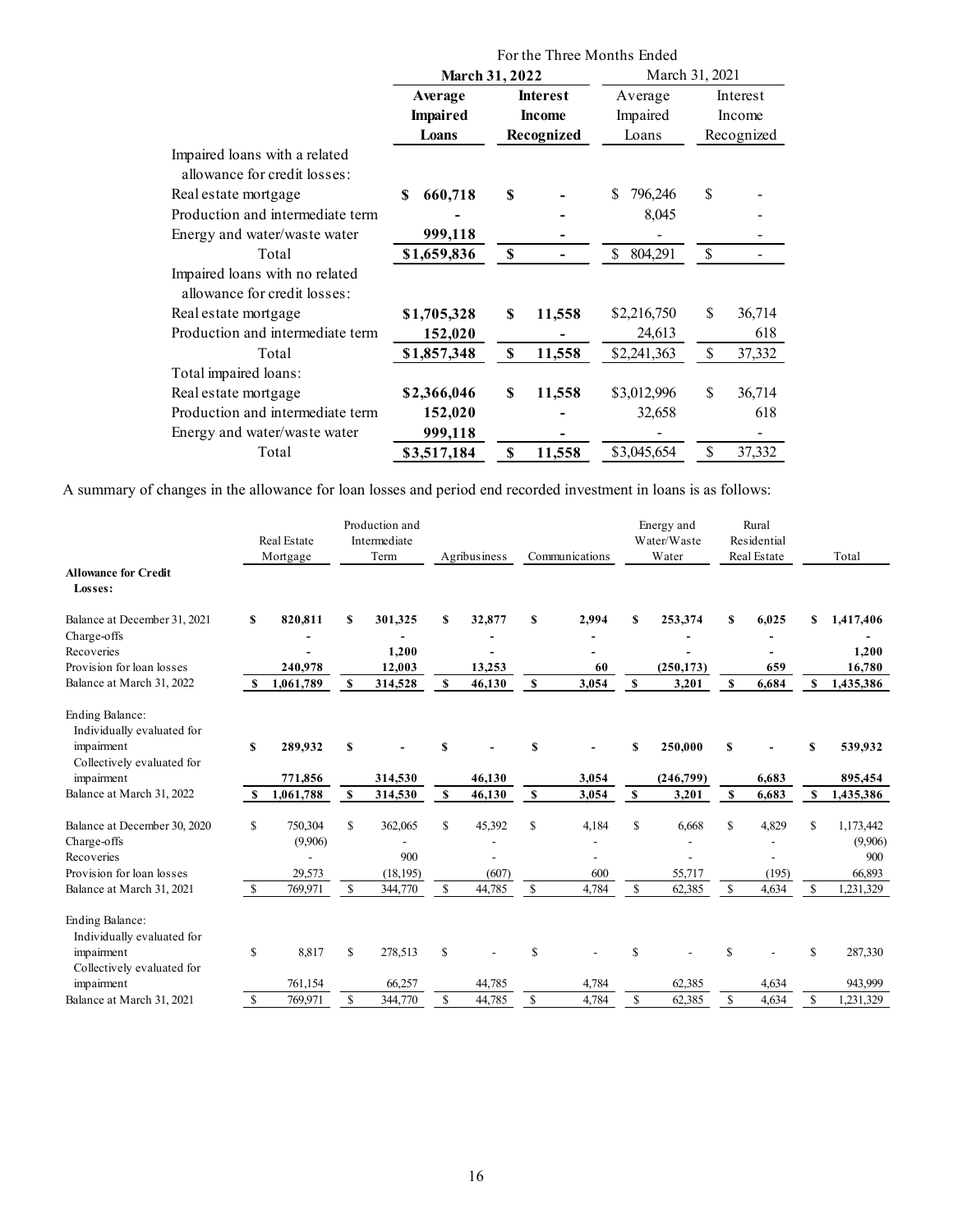|                                                                                                    |                            | For the Three Months Ended<br>March 31, 2022 |                                    | March 31, 2021                      |
|----------------------------------------------------------------------------------------------------|----------------------------|----------------------------------------------|------------------------------------|-------------------------------------|
|                                                                                                    | Average<br><b>Impaired</b> | <b>Interest</b><br><b>Income</b>             | Average<br>Impaired                | Interest<br>Income                  |
|                                                                                                    | Loans                      | Recognized                                   | Loans                              | Recognized                          |
| Impaired loans with a related<br>allowance for credit losses:                                      |                            |                                              |                                    |                                     |
| Real estate mortgage                                                                               | 660,718<br>\$              | S                                            | \$796,246                          | $\mathbb{S}$                        |
| Production and intermediate term<br>Energy and water/waste water                                   | 999,118                    |                                              | 8,045                              |                                     |
| Total                                                                                              | \$1,659,836                | $\mathbf{\$}$<br>$\blacksquare$              | \$ 804,291                         | $\mathcal{S}$                       |
| Impaired loans with no related<br>allowance for credit losses:                                     |                            |                                              |                                    |                                     |
| Real estate mortgage                                                                               | \$1,705,328                | 11,558<br>S                                  | \$2,216,750                        | \$<br>36,714                        |
| Production and intermediate term<br>Total                                                          | 152,020<br>\$1,857,348     | $\sim$<br>11,558<br>\$                       | 24,613<br>\$2,241,363              | 618<br>\$<br>37,332                 |
| Total impaired loans:                                                                              |                            |                                              |                                    |                                     |
| Real estate mortgage<br>Production and intermediate term                                           | \$2,366,046<br>152,020     | 11,558<br>\$                                 | \$3,012,996<br>32,658              | 36,714<br>$\$$<br>618               |
| Energy and water/waste water                                                                       | 999,118                    | $\overline{a}$                               | $\blacksquare$                     | $\sim$                              |
| Total                                                                                              | \$3,517,184                | 11,558<br>$\mathbf S$                        | \$3,045,654                        | 37,332<br>$\mathbb S$               |
| hanges in the allowance for loan losses and period end recorded investment in loans is as follows: |                            |                                              |                                    |                                     |
| Production and<br>Intermediate<br>Real Estate<br>Term<br>Mortgage                                  | Agribusiness               | Communications                               | Energy and<br>Water/Waste<br>Water | Rural<br>Residential<br>Real Estate |
| it                                                                                                 |                            |                                              |                                    |                                     |

|                                                                                                                     |                     | Energy and water/waste water                              |                    |                                        | 999,118                        |                                                               |                     | $\blacksquare$                                    |                          | $\overline{\phantom{a}}$                              |                                | $\sim$                                              |                    |                                                    |
|---------------------------------------------------------------------------------------------------------------------|---------------------|-----------------------------------------------------------|--------------------|----------------------------------------|--------------------------------|---------------------------------------------------------------|---------------------|---------------------------------------------------|--------------------------|-------------------------------------------------------|--------------------------------|-----------------------------------------------------|--------------------|----------------------------------------------------|
|                                                                                                                     |                     | Total                                                     |                    | \$3,517,184                            |                                | $\mathbf{s}$                                                  |                     | 11,558                                            | \$3,045,654              | $\mathbb{S}$                                          |                                | 37,332                                              |                    |                                                    |
| A summary of changes in the allowance for loan losses and period end recorded investment in loans is as follows:    |                     |                                                           |                    |                                        |                                |                                                               |                     |                                                   |                          |                                                       |                                |                                                     |                    |                                                    |
|                                                                                                                     |                     | Real Estate                                               |                    | Production and<br>Intermediate<br>Term |                                | Agribusiness                                                  |                     |                                                   |                          | Energy and<br>Water/Waste<br>Water                    |                                | Rural<br>Residential<br>Real Estate                 |                    | Total                                              |
| <b>Allowance for Credit</b><br>Losses:                                                                              |                     | Mortgage                                                  |                    |                                        |                                |                                                               |                     | Communications                                    |                          |                                                       |                                |                                                     |                    |                                                    |
| Balance at December 31, 2021<br>Charge-offs                                                                         | S                   | 820,811                                                   | S                  | 301,325                                | S                              | 32,877<br>$\blacksquare$                                      | <b>S</b>            | 2,994                                             | S                        | 253,374<br>$\blacksquare$                             | S                              | 6,025                                               | \$                 | 1,417,406                                          |
| Recoveries<br>Provision for loan losses                                                                             |                     | $\overline{\phantom{a}}$<br>240,978                       |                    | 1,200<br>12,003                        |                                | $\blacksquare$<br>13,253                                      |                     | 60                                                |                          | $\blacksquare$<br>(250, 173)                          |                                | $\blacksquare$<br>659                               |                    | 1,200<br>16,780                                    |
| Balance at March 31, 2022                                                                                           | -SS                 | 1,061,789                                                 | -S                 | 314,528                                | S                              | 46,130                                                        | $\mathbf{s}$        | 3.054                                             | $\mathbf{s}$             | 3,201                                                 | S                              | 6,684                                               | S.                 | 1,435,386                                          |
| Ending Balance:<br>Individually evaluated for<br>impairment<br>Collectively evaluated for                           | S                   | 289,932                                                   | S                  |                                        | <b>S</b>                       |                                                               | S                   |                                                   | \$                       | 250,000                                               | S                              |                                                     | S                  | 539,932                                            |
| impairment<br>Balance at March 31, 2022                                                                             | S.                  | 771,856<br>1,061,788                                      | <b>S</b>           | 314,530<br>314,530                     | S                              | 46,130<br>46,130                                              | $\mathbf{s}$        | 3,054<br>3,054                                    | $\mathbf{s}$             | (246,799)<br>3,201                                    | S                              | 6,683<br>6,683                                      | S                  | 895,454<br>1,435,386                               |
|                                                                                                                     |                     |                                                           |                    |                                        |                                |                                                               |                     |                                                   |                          |                                                       |                                |                                                     |                    |                                                    |
| Balance at December 30, 2020<br>Charge-offs<br>Recoveries<br>Provision for loan losses<br>Balance at March 31, 2021 | \$<br><sup>\$</sup> | 750,304<br>(9,906)<br>$\blacksquare$<br>29,573<br>769,971 | \$<br>$\mathbb{S}$ | 362,065<br>900<br>(18, 195)<br>344,770 | <sup>\$</sup><br><sup>\$</sup> | 45,392<br>$\blacksquare$<br>$\overline{a}$<br>(607)<br>44,785 | <sup>\$</sup><br>\$ | 4,184<br>$\sim$<br>$\overline{a}$<br>600<br>4,784 | \$<br>$\mathbf{\hat{s}}$ | 6,668<br>$\overline{\phantom{a}}$<br>55,717<br>62,385 | <sup>\$</sup><br><sup>\$</sup> | 4,829<br>$\overline{\phantom{a}}$<br>(195)<br>4,634 | \$<br>$\mathbb{S}$ | 1,173,442<br>(9,906)<br>900<br>66,893<br>1,231,329 |
| Ending Balance:<br>Individually evaluated for<br>impairment<br>Collectively evaluated for                           | \$                  | 8,817                                                     | \$                 | 278,513                                | <sup>\$</sup>                  |                                                               | \$                  |                                                   | S                        |                                                       | <sup>\$</sup>                  |                                                     | \$                 | 287,330                                            |
| impairment                                                                                                          |                     | 761,154                                                   |                    | 66,257                                 |                                | 44,785                                                        |                     | 4,784                                             |                          | 62,385                                                |                                | 4,634                                               |                    | 943,999                                            |
| Balance at March 31, 2021                                                                                           | <sup>S</sup>        | 769,971                                                   | - \$               | 344,770                                | $\mathbb{S}$                   | 44,785                                                        | - \$                | 4,784                                             | - \$                     | 62,385                                                | $\mathbb{S}$                   | 4,634                                               | $\mathbf{\hat{S}}$ | 1,231,329                                          |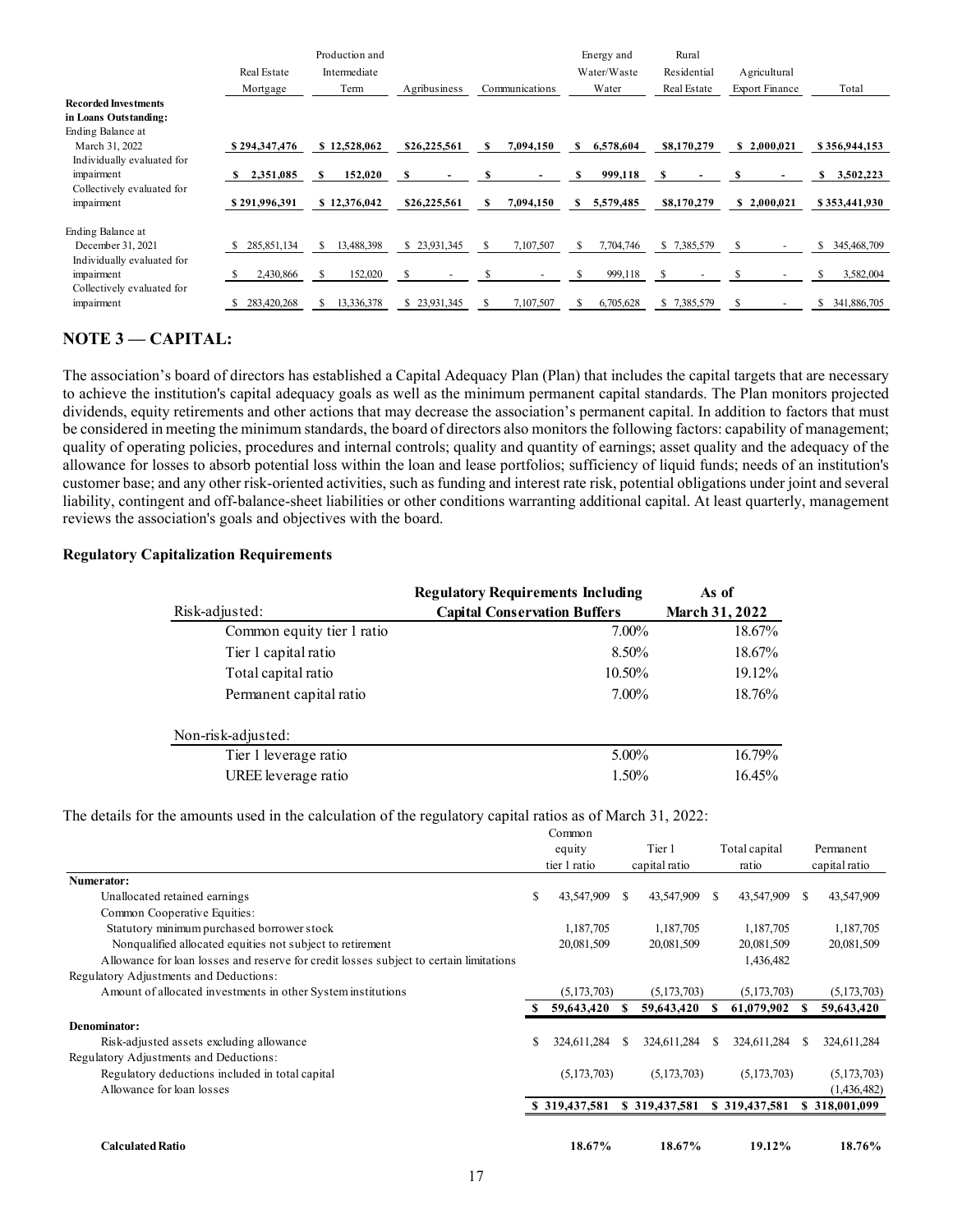|                                                      |                         | Production and                                       |                |                  | Energy and                | Rural                      |                                       |                                       |
|------------------------------------------------------|-------------------------|------------------------------------------------------|----------------|------------------|---------------------------|----------------------------|---------------------------------------|---------------------------------------|
|                                                      | Real Estate<br>Mortgage | $\label{eq:intermediate} {\rm Intermediate}$<br>Term | Agribusiness   | Communications   | Water/Waste<br>Water      | Residential<br>Real Estate | Agricultural<br><b>Export Finance</b> | Total                                 |
| <b>Recorded Investments</b><br>in Loans Outstanding: |                         |                                                      |                |                  |                           |                            |                                       |                                       |
| Ending Balance at<br>March 31, 2022                  | \$294,347,476           | \$12,528,062                                         | \$26,225,561   | $S = 7,094,150$  | \$6,578,604               | \$8,170,279                | $\frac{\$}{2,000,021}$                | \$356,944,153                         |
| Individually evaluated for<br>impairment             | $\frac{$2,351,085}{}$   | 152,020<br>$\mathbf{s}$                              | - \$<br>$\sim$ | -S<br>$\sim$     | $\mathbf s$<br>999,118    | - S<br>$\sim$              | -S<br>$\sim$                          | $\frac{$}{5}$ 3,502,223               |
| Collectively evaluated for<br>impairment             | \$291,996,391           | \$12,376,042                                         | \$26,225,561   | \$7,094,150      | \$5,579,485               | \$8,170,279                |                                       | $\frac{\$ 2,000,021}{\$ 353,441,930}$ |
| Ending Balance at<br>December 31, 2021               | \$285,851,134           | \$13,488,398                                         | \$23,931,345   | 7,107,507<br>- S | $\mathbf{s}$<br>7,704,746 | \$7,385,579                | $\mathbf{s}$<br>$\sim$                | \$ 345,468,709                        |
| Individually evaluated for<br>impairment             | 2,430,866<br>-S         | 152,020<br><sup>S</sup>                              | -S<br>$\sim$   | -S<br>$\sim$     | 999,118<br>$\mathbf{s}$   | -S<br>$\sim$ $-$           | $\mathbf{s}$<br>$\sim$                | $\frac{$}{5}$ 3,582,004               |
| Collectively evaluated for<br>impairment             | \$283,420,268           | \$ 13,336,378                                        | \$23,931,345   | 7,107,507<br>S   | \$6,705,628               | \$7,385,579                | - S<br>$\sim$ $-$                     | \$ 341,886,705                        |

## NOTE 3 – CAPITAL:

The association's board of directors has established a Capital Adequacy Plan (Plan) that includes the capital targets that are necessary to achieve the institution's capital adequacy goals as well as the minimum permanent capital standards. The Plan monitors projected dividends, equity retirements and other actions that may decrease the association's permanent capital. In addition to factors that must be considered in meeting the minimum standards, the board of directors also monitors the following factors: capability of management; quality of operating policies, procedures and internal controls; quality and quantity of earnings; asset quality and the adequacy of the allowance for losses to absorb potential loss within the loan and lease portfolios; sufficiency of liquid funds; needs of an institution's customer base; and any other risk-oriented activities, such as funding and interest rate risk, potential obligations under joint and several liability, contingent and off-balance-sheet liabilities or other conditions warranting additional capital. At least quarterly, management reviews the association's goals and objectives with the board. **6.225.561 S** 7.094,150 **S** 5.579,485 **S8.170.279 S** 2.000,021 **S** 35.441,930<br>
23.931,345 **S** 7.107,507 **S** 7.704,746 **S** 7.385.579 **S** . **S** 343,468,709<br>
23.931,345 **S** 7.107,507 **S** 6.705,628 **S** 7.385.579 **S** . **S** Risk-adjusted: Capital Conservation Buffers March 31, 2022 S 28.841.114 S 13.88.838. S 23.811.366 S 2.810.80 S 2.731.87.89 S 2.738.579 S 3 3.83.600<br>
S 2.430.86 S 153.800 S 2.81.81.84 S 2.81.11.86 S 2.85.679 S 2.81.85.579 S 2.81.88.676<br>
C 3.62.420.268 S 13.336.378 S 2.3391.345 S 7 **EXAMPLE 12.67%** 18.67% 11.67% 11.67% 11.67% 11.67% 11.67% 11.67% 11.67% 11.67% 11.67% 11.67% 11.67% 11.67% 11.67% 11.67% 11.67% 11.67% 11.67% 11.67% 11.67% 11.67% 11.67% 11.67% 11.67% 11.67% 11.67% 11.67% 11.67% 11.67% 1

#### Regulatory Capitalization Requirements

|                                          | 2,430,866                                                                                                                                                                                                                                                                                                                                                                                                                                                                                                                                                                                                                                                                                                                                                                                                                                                                                                                                                                                                                                                                                                       | - S | 152,020       | -S |              | S            |                                          | S                | 999,118     | -S            |       | -S                    |    | 3,582,004<br>S |
|------------------------------------------|-----------------------------------------------------------------------------------------------------------------------------------------------------------------------------------------------------------------------------------------------------------------------------------------------------------------------------------------------------------------------------------------------------------------------------------------------------------------------------------------------------------------------------------------------------------------------------------------------------------------------------------------------------------------------------------------------------------------------------------------------------------------------------------------------------------------------------------------------------------------------------------------------------------------------------------------------------------------------------------------------------------------------------------------------------------------------------------------------------------------|-----|---------------|----|--------------|--------------|------------------------------------------|------------------|-------------|---------------|-------|-----------------------|----|----------------|
| ted for                                  | \$ 283,420,268                                                                                                                                                                                                                                                                                                                                                                                                                                                                                                                                                                                                                                                                                                                                                                                                                                                                                                                                                                                                                                                                                                  |     | \$ 13,336,378 |    | \$23,931,345 | $\mathbb{S}$ | 7,107,507                                |                  | \$6,705,628 | \$7,385,579   |       | - S                   |    | \$ 341,886,705 |
| <b>APITAL:</b>                           |                                                                                                                                                                                                                                                                                                                                                                                                                                                                                                                                                                                                                                                                                                                                                                                                                                                                                                                                                                                                                                                                                                                 |     |               |    |              |              |                                          |                  |             |               |       |                       |    |                |
|                                          | 's board of directors has established a Capital Adequacy Plan (Plan) that includes the capital targets that are necessary<br>nstitution's capital adequacy goals as well as the minimum permanent capital standards. The Plan monitors projected<br>ty retirements and other actions that may decrease the association's permanent capital. In addition to factors that must<br>i meeting the minimum standards, the board of directors also monitors the following factors: capability of management;<br>iting policies, procedures and internal controls; quality and quantity of earnings; asset quality and the adequacy of the<br>osses to absorb potential loss within the loan and lease portfolios; sufficiency of liquid funds; needs of an institution's<br>and any other risk-oriented activities, such as funding and interest rate risk, potential obligations under joint and several<br>gent and off-balance-sheet liabilities or other conditions warranting additional capital. At least quarterly, management<br>ociation's goals and objectives with the board.<br>pitalization Requirements |     |               |    |              |              |                                          |                  |             |               |       |                       |    |                |
|                                          |                                                                                                                                                                                                                                                                                                                                                                                                                                                                                                                                                                                                                                                                                                                                                                                                                                                                                                                                                                                                                                                                                                                 |     |               |    |              |              | <b>Regulatory Requirements Including</b> |                  |             |               | As of |                       |    |                |
| Risk-adjusted:                           |                                                                                                                                                                                                                                                                                                                                                                                                                                                                                                                                                                                                                                                                                                                                                                                                                                                                                                                                                                                                                                                                                                                 |     |               |    |              |              | <b>Capital Conservation Buffers</b>      |                  |             |               |       | <b>March 31, 2022</b> |    |                |
|                                          | Common equity tier 1 ratio                                                                                                                                                                                                                                                                                                                                                                                                                                                                                                                                                                                                                                                                                                                                                                                                                                                                                                                                                                                                                                                                                      |     |               |    |              |              |                                          |                  | 7.00%       |               |       | 18.67%                |    |                |
|                                          | Tier 1 capital ratio                                                                                                                                                                                                                                                                                                                                                                                                                                                                                                                                                                                                                                                                                                                                                                                                                                                                                                                                                                                                                                                                                            |     |               |    |              |              |                                          |                  | 8.50%       |               |       | 18.67%                |    |                |
|                                          | Total capital ratio                                                                                                                                                                                                                                                                                                                                                                                                                                                                                                                                                                                                                                                                                                                                                                                                                                                                                                                                                                                                                                                                                             |     |               |    |              |              |                                          |                  | 10.50%      |               |       | 19.12%                |    |                |
|                                          | Permanent capital ratio                                                                                                                                                                                                                                                                                                                                                                                                                                                                                                                                                                                                                                                                                                                                                                                                                                                                                                                                                                                                                                                                                         |     |               |    |              |              |                                          |                  | 7.00%       |               |       | 18.76%                |    |                |
|                                          | Non-risk-adjusted:                                                                                                                                                                                                                                                                                                                                                                                                                                                                                                                                                                                                                                                                                                                                                                                                                                                                                                                                                                                                                                                                                              |     |               |    |              |              |                                          |                  |             |               |       |                       |    |                |
|                                          | Tier 1 leverage ratio                                                                                                                                                                                                                                                                                                                                                                                                                                                                                                                                                                                                                                                                                                                                                                                                                                                                                                                                                                                                                                                                                           |     |               |    |              |              |                                          |                  | 5.00%       |               |       | 16.79%                |    |                |
|                                          | UREE leverage ratio                                                                                                                                                                                                                                                                                                                                                                                                                                                                                                                                                                                                                                                                                                                                                                                                                                                                                                                                                                                                                                                                                             |     |               |    |              |              |                                          |                  | 1.50%       |               |       | 16.45%                |    |                |
|                                          | the amounts used in the calculation of the regulatory capital ratios as of March 31, 2022:                                                                                                                                                                                                                                                                                                                                                                                                                                                                                                                                                                                                                                                                                                                                                                                                                                                                                                                                                                                                                      |     |               |    |              |              |                                          | Common<br>equity |             | Tier 1        |       | Total capital         |    | Permanent      |
|                                          |                                                                                                                                                                                                                                                                                                                                                                                                                                                                                                                                                                                                                                                                                                                                                                                                                                                                                                                                                                                                                                                                                                                 |     |               |    |              |              |                                          | tier 1 ratio     |             | capital ratio |       | ratio                 |    | capital ratio  |
| retained earnings<br>operative Equities: |                                                                                                                                                                                                                                                                                                                                                                                                                                                                                                                                                                                                                                                                                                                                                                                                                                                                                                                                                                                                                                                                                                                 |     |               |    |              |              |                                          | 43,547,909 \$    |             | 43,547,909 \$ |       | 43,547,909            | -S | 43,547,909     |
|                                          | ninimum purchased borrower stock                                                                                                                                                                                                                                                                                                                                                                                                                                                                                                                                                                                                                                                                                                                                                                                                                                                                                                                                                                                                                                                                                |     |               |    |              |              |                                          | 1,187,705        |             | 1,187,705     |       | 1,187,705             |    | 1,187,705      |
|                                          | fied allocated equities not subject to retirement                                                                                                                                                                                                                                                                                                                                                                                                                                                                                                                                                                                                                                                                                                                                                                                                                                                                                                                                                                                                                                                               |     |               |    |              |              |                                          | 20,081,509       |             | 20,081,509    |       | 20,081,509            |    | 20,081,509     |
|                                          | for loan losses and reserve for credit losses subject to certain limitations                                                                                                                                                                                                                                                                                                                                                                                                                                                                                                                                                                                                                                                                                                                                                                                                                                                                                                                                                                                                                                    |     |               |    |              |              |                                          |                  |             |               |       | 1,436,482             |    |                |

| Common equity tier 1 ratio<br>7.00%<br>18.67%<br>8.50%<br>Tier 1 capital ratio<br>18.67%<br>Total capital ratio<br>10.50%<br>19.12%<br>7.00%<br>Permanent capital ratio<br>18.76%<br>Non-risk-adjusted:<br>16.79%<br>Tier 1 leverage ratio<br>5.00%<br>UREE leverage ratio<br>1.50%<br>16.45%<br>The details for the amounts used in the calculation of the regulatory capital ratios as of March 31, 2022:<br>Common<br>equity<br>Tier 1<br>Total capital<br>Permanent<br>tier 1 ratio<br>capital ratio<br>ratio<br>capital ratio<br>Numerator:<br>Unallocated retained earnings<br>43,547,909<br>43,547,909<br>43,547,909<br>43,547,909<br>-S<br>-S<br>-S<br>-8<br>Common Cooperative Equities:<br>Statutory minimum purchased borrower stock<br>1,187,705<br>1,187,705<br>1,187,705<br>Nonqualified allocated equities not subject to retirement<br>20,081,509<br>20,081,509<br>20,081,509<br>20,081,509<br>Allowance for loan losses and reserve for credit losses subject to certain limitations<br>1,436,482<br>Regulatory Adjustments and Deductions:<br>Amount of allocated investments in other System institutions<br>(5,173,703)<br>(5,173,703)<br>(5,173,703)<br>59,643,420 \$<br>59,643,420 \$<br>61,079,902 \$<br>Denominator:<br>Risk-adjusted assets excluding allowance<br>324,611,284 \$<br>324,611,284 \$<br>324,611,284 \$ 324,611,284<br>S.<br>Regulatory Adjustments and Deductions:<br>Regulatory deductions included in total capital<br>(5,173,703)<br>(5,173,703)<br>(5,173,703)<br>Allowance for loan losses<br><b>Calculated Ratio</b><br>18.67%<br>18.67%<br>19.12% | <b>Regulatory Requirements Including</b><br>Risk-adjusted:<br><b>Capital Conservation Buffers</b> |  |  | As of<br>March 31, 2022 |  |
|--------------------------------------------------------------------------------------------------------------------------------------------------------------------------------------------------------------------------------------------------------------------------------------------------------------------------------------------------------------------------------------------------------------------------------------------------------------------------------------------------------------------------------------------------------------------------------------------------------------------------------------------------------------------------------------------------------------------------------------------------------------------------------------------------------------------------------------------------------------------------------------------------------------------------------------------------------------------------------------------------------------------------------------------------------------------------------------------------------------------------------------------------------------------------------------------------------------------------------------------------------------------------------------------------------------------------------------------------------------------------------------------------------------------------------------------------------------------------------------------------------------------------------------------------------------------------------------------------|---------------------------------------------------------------------------------------------------|--|--|-------------------------|--|
| 1,187,705<br>(5,173,703)<br>59,643,420<br>(5,173,703)<br>(1,436,482)<br>\$ 319,437,581 \$ 319,437,581 \$ 319,437,581 \$ 318,001,099<br>18.76%                                                                                                                                                                                                                                                                                                                                                                                                                                                                                                                                                                                                                                                                                                                                                                                                                                                                                                                                                                                                                                                                                                                                                                                                                                                                                                                                                                                                                                                    |                                                                                                   |  |  |                         |  |
|                                                                                                                                                                                                                                                                                                                                                                                                                                                                                                                                                                                                                                                                                                                                                                                                                                                                                                                                                                                                                                                                                                                                                                                                                                                                                                                                                                                                                                                                                                                                                                                                  |                                                                                                   |  |  |                         |  |
|                                                                                                                                                                                                                                                                                                                                                                                                                                                                                                                                                                                                                                                                                                                                                                                                                                                                                                                                                                                                                                                                                                                                                                                                                                                                                                                                                                                                                                                                                                                                                                                                  |                                                                                                   |  |  |                         |  |
|                                                                                                                                                                                                                                                                                                                                                                                                                                                                                                                                                                                                                                                                                                                                                                                                                                                                                                                                                                                                                                                                                                                                                                                                                                                                                                                                                                                                                                                                                                                                                                                                  |                                                                                                   |  |  |                         |  |
|                                                                                                                                                                                                                                                                                                                                                                                                                                                                                                                                                                                                                                                                                                                                                                                                                                                                                                                                                                                                                                                                                                                                                                                                                                                                                                                                                                                                                                                                                                                                                                                                  |                                                                                                   |  |  |                         |  |
|                                                                                                                                                                                                                                                                                                                                                                                                                                                                                                                                                                                                                                                                                                                                                                                                                                                                                                                                                                                                                                                                                                                                                                                                                                                                                                                                                                                                                                                                                                                                                                                                  |                                                                                                   |  |  |                         |  |
|                                                                                                                                                                                                                                                                                                                                                                                                                                                                                                                                                                                                                                                                                                                                                                                                                                                                                                                                                                                                                                                                                                                                                                                                                                                                                                                                                                                                                                                                                                                                                                                                  |                                                                                                   |  |  |                         |  |
|                                                                                                                                                                                                                                                                                                                                                                                                                                                                                                                                                                                                                                                                                                                                                                                                                                                                                                                                                                                                                                                                                                                                                                                                                                                                                                                                                                                                                                                                                                                                                                                                  |                                                                                                   |  |  |                         |  |
|                                                                                                                                                                                                                                                                                                                                                                                                                                                                                                                                                                                                                                                                                                                                                                                                                                                                                                                                                                                                                                                                                                                                                                                                                                                                                                                                                                                                                                                                                                                                                                                                  |                                                                                                   |  |  |                         |  |
|                                                                                                                                                                                                                                                                                                                                                                                                                                                                                                                                                                                                                                                                                                                                                                                                                                                                                                                                                                                                                                                                                                                                                                                                                                                                                                                                                                                                                                                                                                                                                                                                  |                                                                                                   |  |  |                         |  |
|                                                                                                                                                                                                                                                                                                                                                                                                                                                                                                                                                                                                                                                                                                                                                                                                                                                                                                                                                                                                                                                                                                                                                                                                                                                                                                                                                                                                                                                                                                                                                                                                  |                                                                                                   |  |  |                         |  |
|                                                                                                                                                                                                                                                                                                                                                                                                                                                                                                                                                                                                                                                                                                                                                                                                                                                                                                                                                                                                                                                                                                                                                                                                                                                                                                                                                                                                                                                                                                                                                                                                  |                                                                                                   |  |  |                         |  |
|                                                                                                                                                                                                                                                                                                                                                                                                                                                                                                                                                                                                                                                                                                                                                                                                                                                                                                                                                                                                                                                                                                                                                                                                                                                                                                                                                                                                                                                                                                                                                                                                  |                                                                                                   |  |  |                         |  |
|                                                                                                                                                                                                                                                                                                                                                                                                                                                                                                                                                                                                                                                                                                                                                                                                                                                                                                                                                                                                                                                                                                                                                                                                                                                                                                                                                                                                                                                                                                                                                                                                  |                                                                                                   |  |  |                         |  |
|                                                                                                                                                                                                                                                                                                                                                                                                                                                                                                                                                                                                                                                                                                                                                                                                                                                                                                                                                                                                                                                                                                                                                                                                                                                                                                                                                                                                                                                                                                                                                                                                  |                                                                                                   |  |  |                         |  |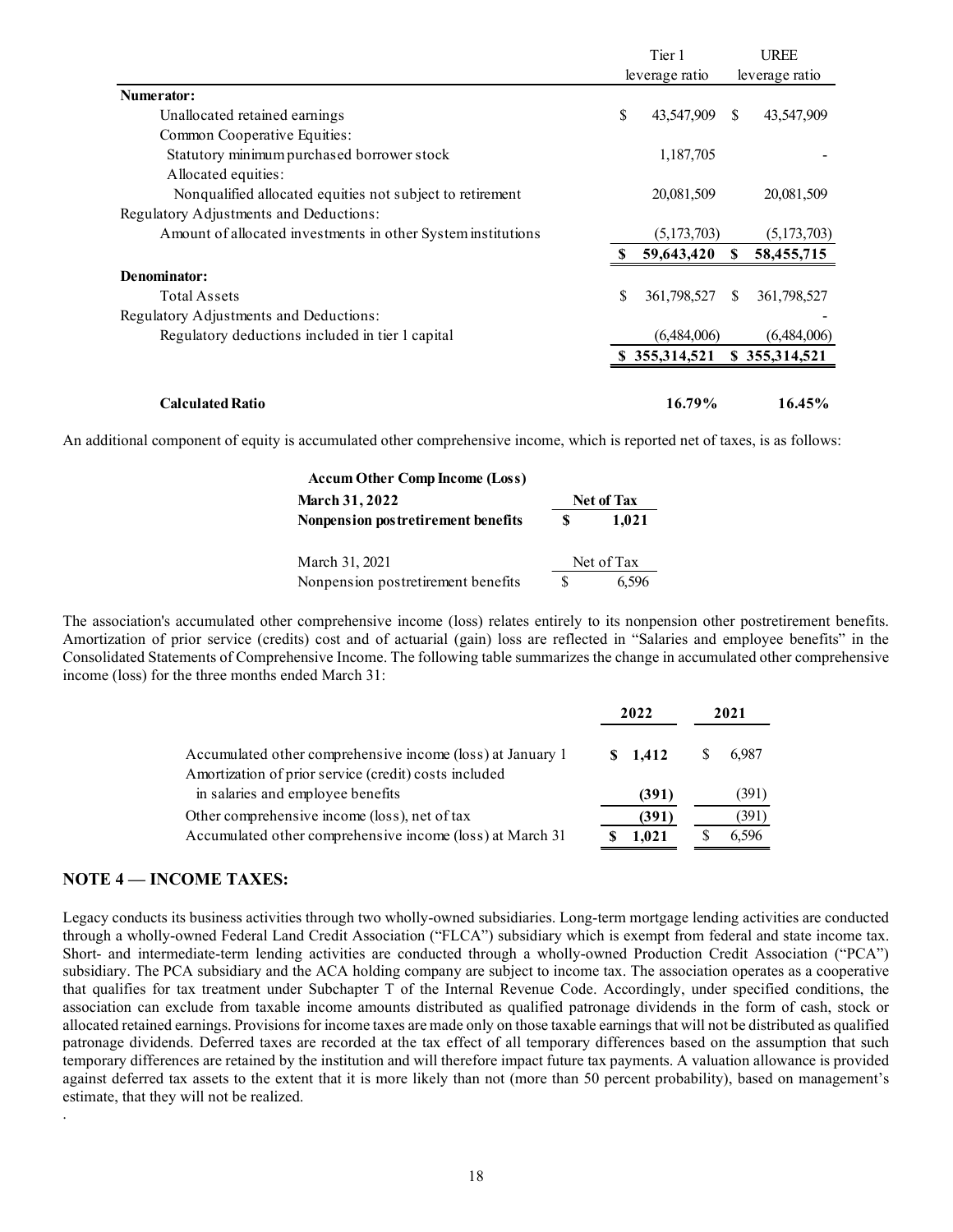|                                                                                                                                                                                                                                                                                                                                                                                                                                     |            | Tier 1         |       | <b>UREE</b>    |
|-------------------------------------------------------------------------------------------------------------------------------------------------------------------------------------------------------------------------------------------------------------------------------------------------------------------------------------------------------------------------------------------------------------------------------------|------------|----------------|-------|----------------|
|                                                                                                                                                                                                                                                                                                                                                                                                                                     |            | leverage ratio |       | leverage ratio |
| Numerator:                                                                                                                                                                                                                                                                                                                                                                                                                          |            |                |       |                |
| Unallocated retained earnings                                                                                                                                                                                                                                                                                                                                                                                                       | S          | 43,547,909     |       | 43,547,909     |
| Common Cooperative Equities:                                                                                                                                                                                                                                                                                                                                                                                                        |            |                |       |                |
| Statutory minimum purchased borrower stock<br>Allocated equities:                                                                                                                                                                                                                                                                                                                                                                   |            | 1,187,705      |       |                |
| Nonqualified allocated equities not subject to retirement<br>Regulatory Adjustments and Deductions:                                                                                                                                                                                                                                                                                                                                 |            | 20,081,509     |       | 20,081,509     |
| Amount of allocated investments in other System institutions                                                                                                                                                                                                                                                                                                                                                                        |            | (5,173,703)    |       | (5,173,703)    |
|                                                                                                                                                                                                                                                                                                                                                                                                                                     | S.         | 59,643,420     | S.    | 58,455,715     |
| Denominator:                                                                                                                                                                                                                                                                                                                                                                                                                        |            |                |       |                |
|                                                                                                                                                                                                                                                                                                                                                                                                                                     |            |                |       |                |
| Total Assets                                                                                                                                                                                                                                                                                                                                                                                                                        |            | 361,798,527    |       | 361,798,527    |
| Regulatory Adjustments and Deductions:                                                                                                                                                                                                                                                                                                                                                                                              |            |                |       |                |
| Regulatory deductions included in tier 1 capital                                                                                                                                                                                                                                                                                                                                                                                    |            | (6,484,006)    |       | (6,484,006)    |
|                                                                                                                                                                                                                                                                                                                                                                                                                                     |            | \$355,314,521  |       | \$355,314,521  |
| <b>Calculated Ratio</b>                                                                                                                                                                                                                                                                                                                                                                                                             |            | 16.79%         |       | 16.45%         |
| tional component of equity is accumulated other comprehensive income, which is reported net of taxes, is as follows:                                                                                                                                                                                                                                                                                                                |            |                |       |                |
| <b>Accum Other Comp Income (Loss)</b>                                                                                                                                                                                                                                                                                                                                                                                               |            |                |       |                |
| March 31, 2022                                                                                                                                                                                                                                                                                                                                                                                                                      | Net of Tax |                |       |                |
| Nonpension postretirement benefits                                                                                                                                                                                                                                                                                                                                                                                                  | 1,021      |                |       |                |
| March 31, 2021                                                                                                                                                                                                                                                                                                                                                                                                                      | Net of Tax |                |       |                |
| Nonpension postretirement benefits<br>\$                                                                                                                                                                                                                                                                                                                                                                                            | 6,596      |                |       |                |
| ociation's accumulated other comprehensive income (loss) relates entirely to its nonpension other postretirement benefits.<br>zation of prior service (credits) cost and of actuarial (gain) loss are reflected in "Salaries and employee benefits" in the<br>dated Statements of Comprehensive Income. The following table summarizes the change in accumulated other comprehensive<br>(loss) for the three months ended March 31: |            |                |       |                |
|                                                                                                                                                                                                                                                                                                                                                                                                                                     | 2022       |                | 2021  |                |
| Accumulated other comprehensive income (loss) at January 1                                                                                                                                                                                                                                                                                                                                                                          | \$1,412    | S.             | 6,987 |                |
| Amortization of prior service (credit) costs included                                                                                                                                                                                                                                                                                                                                                                               |            |                |       |                |
|                                                                                                                                                                                                                                                                                                                                                                                                                                     |            |                |       | (391)          |
| in salaries and employee benefits                                                                                                                                                                                                                                                                                                                                                                                                   |            | (391)          |       |                |

An additional component of equity is accumulated other comprehensive income, which is reported net of taxes, is as follows:

| <b>Accum Other Comp Income (Loss)</b> |   |                   |
|---------------------------------------|---|-------------------|
| <b>March 31, 2022</b>                 |   | <b>Net of Tax</b> |
| Nonpension postretirement benefits    | S | 1.021             |
| March 31, 2021                        |   | Net of Tax        |
| Nonpension postretirement benefits    |   | 6.596             |

The association's accumulated other comprehensive income (loss) relates entirely to its nonpension other postretirement benefits. Amortization of prior service (credits) cost and of actuarial (gain) loss are reflected in "Salaries and employee benefits" in the Consolidated Statements of Comprehensive Income. The following table summarizes the change in accumulated other comprehensive income (loss) for the three months ended March 31:

|                                                                                                                     | 2022    | 2021  |
|---------------------------------------------------------------------------------------------------------------------|---------|-------|
| Accumulated other comprehensive income (loss) at January 1<br>Amortization of prior service (credit) costs included | \$1.412 | 6.987 |
| in salaries and employee benefits                                                                                   | (391)   | (391) |
| Other comprehensive income (loss), net of tax                                                                       | (391)   | 391)  |
| Accumulated other comprehensive income (loss) at March 31                                                           | 1.021   | 6.596 |

## NOTE 4 — INCOME TAXES:

.

Legacy conducts its business activities through two wholly-owned subsidiaries. Long-term mortgage lending activities are conducted through a wholly-owned Federal Land Credit Association ("FLCA") subsidiary which is exempt from federal and state income tax. Short- and intermediate-term lending activities are conducted through a wholly-owned Production Credit Association ("PCA") subsidiary. The PCA subsidiary and the ACA holding company are subject to income tax. The association operates as a cooperative that qualifies for tax treatment under Subchapter T of the Internal Revenue Code. Accordingly, under specified conditions, the association can exclude from taxable income amounts distributed as qualified patronage dividends in the form of cash, stock or allocated retained earnings. Provisions for income taxes are made only on those taxable earnings that will not be distributed as qualified patronage dividends. Deferred taxes are recorded at the tax effect of all temporary differences based on the assumption that such temporary differences are retained by the institution and will therefore impact future tax payments. A valuation allowance is provided against deferred tax assets to the extent that it is more likely than not (more than 50 percent probability), based on management's estimate, that they will not be realized.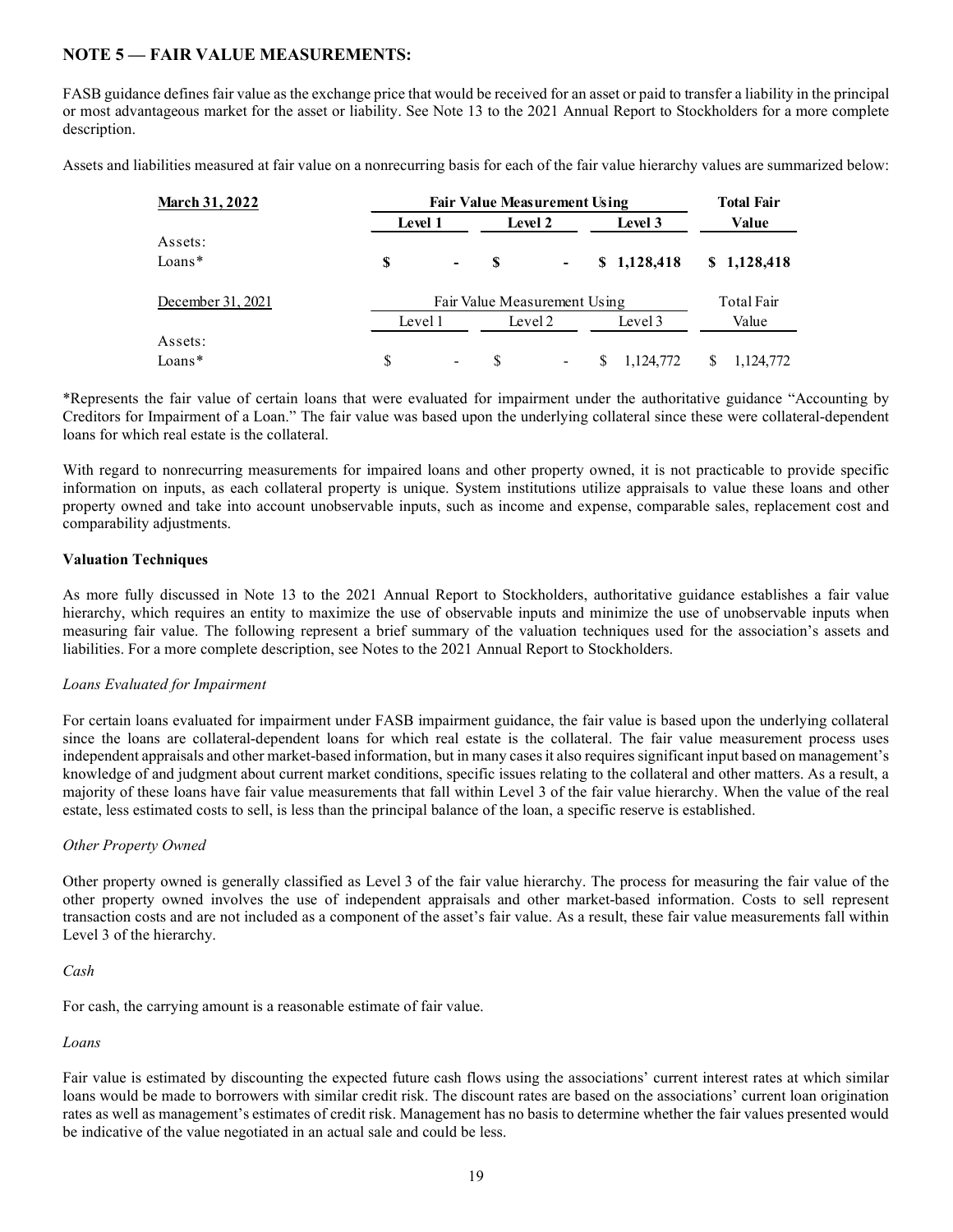## NOTE 5 — FAIR VALUE MEASUREMENTS:

FASB guidance defines fair value as the exchange price that would be received for an asset or paid to transfer a liability in the principal or most advantageous market for the asset or liability. See Note 13 to the 2021 Annual Report to Stockholders for a more complete description.

Assets and liabilities measured at fair value on a nonrecurring basis for each of the fair value hierarchy values are summarized below:

| <b>March 31, 2022</b> |         | <b>Total Fair</b> |         |                |                |                |
|-----------------------|---------|-------------------|---------|----------------|----------------|----------------|
|                       | Level 1 |                   | Level 2 |                | Level 3        | Value          |
| Assets:               |         |                   |         |                |                |                |
| Loans*                | \$      | $\blacksquare$    |         | $\sim$         | \$1,128,418    | \$1,128,418    |
| December 31, 2021     |         | Total Fair        |         |                |                |                |
|                       | Level 1 |                   | Level 2 |                | Level 3        | Value          |
| Assets:               |         |                   |         |                |                |                |
| Loans*                | \$      | $\blacksquare$    | - S     | $\blacksquare$ | 1,124,772<br>S | 1,124,772<br>S |

\*Represents the fair value of certain loans that were evaluated for impairment under the authoritative guidance "Accounting by Creditors for Impairment of a Loan." The fair value was based upon the underlying collateral since these were collateral-dependent loans for which real estate is the collateral.

With regard to nonrecurring measurements for impaired loans and other property owned, it is not practicable to provide specific information on inputs, as each collateral property is unique. System institutions utilize appraisals to value these loans and other property owned and take into account unobservable inputs, such as income and expense, comparable sales, replacement cost and comparability adjustments.

## Valuation Techniques

As more fully discussed in Note 13 to the 2021 Annual Report to Stockholders, authoritative guidance establishes a fair value hierarchy, which requires an entity to maximize the use of observable inputs and minimize the use of unobservable inputs when measuring fair value. The following represent a brief summary of the valuation techniques used for the association's assets and liabilities. For a more complete description, see Notes to the 2021 Annual Report to Stockholders.

## Loans Evaluated for Impairment

For certain loans evaluated for impairment under FASB impairment guidance, the fair value is based upon the underlying collateral since the loans are collateral-dependent loans for which real estate is the collateral. The fair value measurement process uses independent appraisals and other market-based information, but in many cases it also requires significant input based on management's knowledge of and judgment about current market conditions, specific issues relating to the collateral and other matters. As a result, a majority of these loans have fair value measurements that fall within Level 3 of the fair value hierarchy. When the value of the real estate, less estimated costs to sell, is less than the principal balance of the loan, a specific reserve is established.

## Other Property Owned

Other property owned is generally classified as Level 3 of the fair value hierarchy. The process for measuring the fair value of the other property owned involves the use of independent appraisals and other market-based information. Costs to sell represent transaction costs and are not included as a component of the asset's fair value. As a result, these fair value measurements fall within Level 3 of the hierarchy.

#### Cash

For cash, the carrying amount is a reasonable estimate of fair value.

## Loans

Fair value is estimated by discounting the expected future cash flows using the associations' current interest rates at which similar loans would be made to borrowers with similar credit risk. The discount rates are based on the associations' current loan origination rates as well as management's estimates of credit risk. Management has no basis to determine whether the fair values presented would be indicative of the value negotiated in an actual sale and could be less.